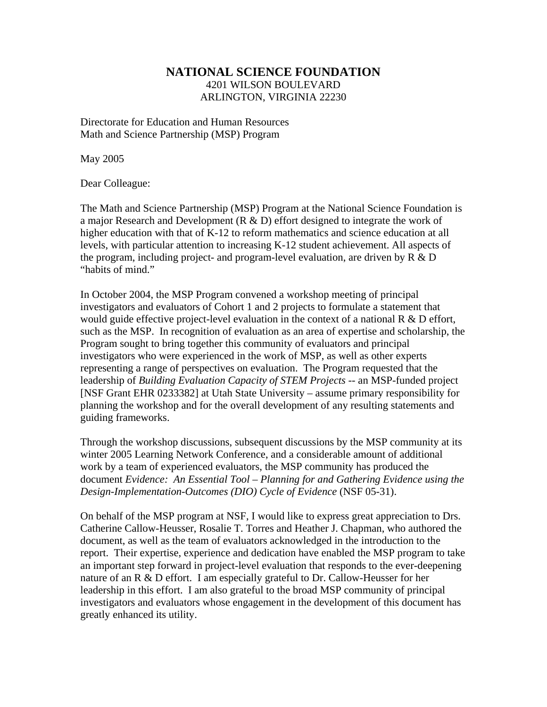# **NATIONAL SCIENCE FOUNDATION**  4201 WILSON BOULEVARD ARLINGTON, VIRGINIA 22230

Directorate for Education and Human Resources Math and Science Partnership (MSP) Program

May 2005

Dear Colleague:

The Math and Science Partnership (MSP) Program at the National Science Foundation is a major Research and Development  $(R & D)$  effort designed to integrate the work of higher education with that of K-12 to reform mathematics and science education at all levels, with particular attention to increasing K-12 student achievement. All aspects of the program, including project- and program-level evaluation, are driven by  $R \& D$ "habits of mind."

In October 2004, the MSP Program convened a workshop meeting of principal investigators and evaluators of Cohort 1 and 2 projects to formulate a statement that would guide effective project-level evaluation in the context of a national R & D effort, such as the MSP. In recognition of evaluation as an area of expertise and scholarship, the Program sought to bring together this community of evaluators and principal investigators who were experienced in the work of MSP, as well as other experts representing a range of perspectives on evaluation. The Program requested that the leadership of *Building Evaluation Capacity of STEM Projects* -- an MSP-funded project [NSF Grant EHR 0233382] at Utah State University – assume primary responsibility for planning the workshop and for the overall development of any resulting statements and guiding frameworks.

Through the workshop discussions, subsequent discussions by the MSP community at its winter 2005 Learning Network Conference, and a considerable amount of additional work by a team of experienced evaluators, the MSP community has produced the document *Evidence: An Essential Tool – Planning for and Gathering Evidence using the Design-Implementation-Outcomes (DIO) Cycle of Evidence* (NSF 05-31).

On behalf of the MSP program at NSF, I would like to express great appreciation to Drs. Catherine Callow-Heusser, Rosalie T. Torres and Heather J. Chapman, who authored the document, as well as the team of evaluators acknowledged in the introduction to the report. Their expertise, experience and dedication have enabled the MSP program to take an important step forward in project-level evaluation that responds to the ever-deepening nature of an R & D effort. I am especially grateful to Dr. Callow-Heusser for her leadership in this effort. I am also grateful to the broad MSP community of principal investigators and evaluators whose engagement in the development of this document has greatly enhanced its utility.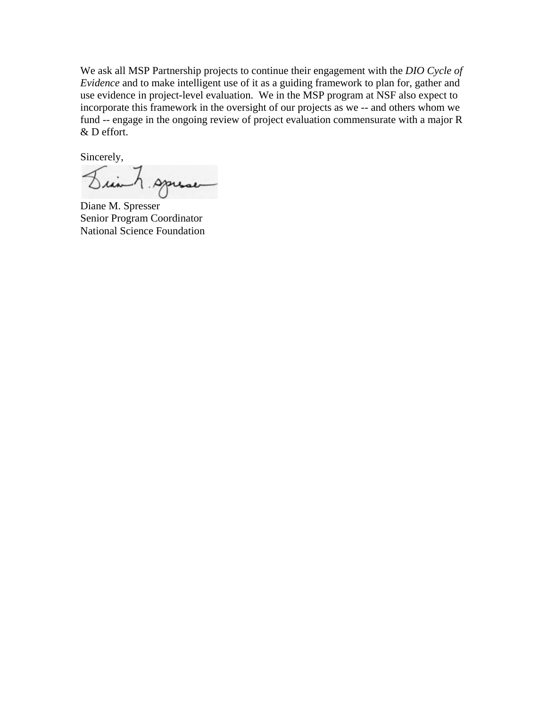We ask all MSP Partnership projects to continue their engagement with the *DIO Cycle of Evidence* and to make intelligent use of it as a guiding framework to plan for, gather and use evidence in project-level evaluation. We in the MSP program at NSF also expect to incorporate this framework in the oversight of our projects as we -- and others whom we fund -- engage in the ongoing review of project evaluation commensurate with a major R & D effort.

Sincerely,

h. sprese

Diane M. Spresser Senior Program Coordinator National Science Foundation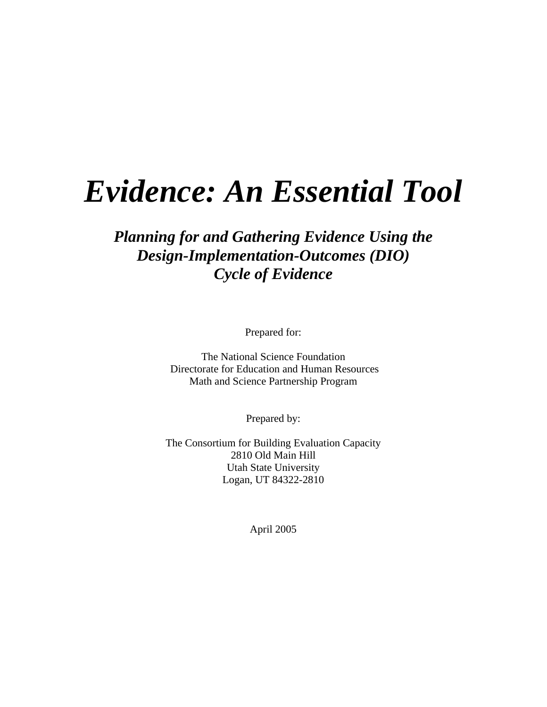# *Planning for and Gathering Evidence Using the Design-Implementation-Outcomes (DIO) Cycle of Evidence*

Prepared for:

The National Science Foundation Directorate for Education and Human Resources Math and Science Partnership Program

Prepared by:

The Consortium for Building Evaluation Capacity 2810 Old Main Hill Utah State University Logan, UT 84322-2810

April 2005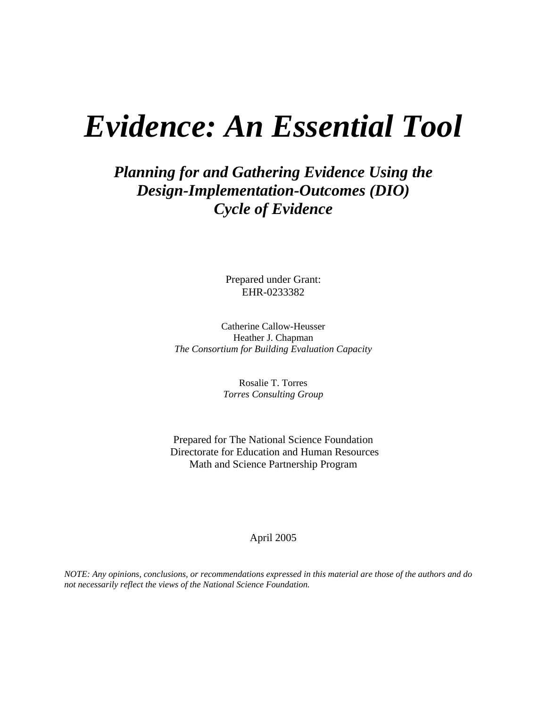# *Planning for and Gathering Evidence Using the Design-Implementation-Outcomes (DIO) Cycle of Evidence*

Prepared under Grant: EHR-0233382

Catherine Callow-Heusser Heather J. Chapman *The Consortium for Building Evaluation Capacity* 

> Rosalie T. Torres *Torres Consulting Group*

Prepared for The National Science Foundation Directorate for Education and Human Resources Math and Science Partnership Program

#### April 2005

*NOTE: Any opinions, conclusions, or recommendations expressed in this material are those of the authors and do not necessarily reflect the views of the National Science Foundation.*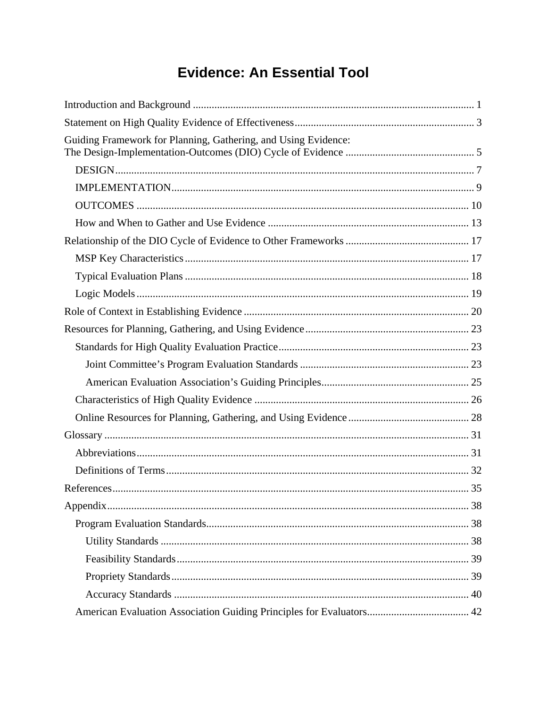| Guiding Framework for Planning, Gathering, and Using Evidence:       |  |
|----------------------------------------------------------------------|--|
|                                                                      |  |
|                                                                      |  |
|                                                                      |  |
|                                                                      |  |
|                                                                      |  |
|                                                                      |  |
|                                                                      |  |
|                                                                      |  |
|                                                                      |  |
|                                                                      |  |
|                                                                      |  |
|                                                                      |  |
|                                                                      |  |
|                                                                      |  |
|                                                                      |  |
|                                                                      |  |
|                                                                      |  |
|                                                                      |  |
|                                                                      |  |
|                                                                      |  |
|                                                                      |  |
|                                                                      |  |
|                                                                      |  |
|                                                                      |  |
|                                                                      |  |
| American Evaluation Association Guiding Principles for Evaluators 42 |  |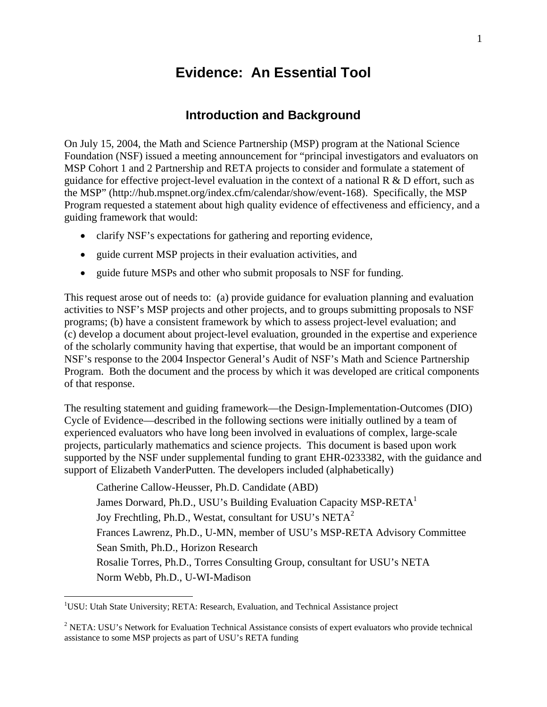# **Introduction and Background**

On July 15, 2004, the Math and Science Partnership (MSP) program at the National Science Foundation (NSF) issued a meeting announcement for "principal investigators and evaluators on MSP Cohort 1 and 2 Partnership and RETA projects to consider and formulate a statement of guidance for effective project-level evaluation in the context of a national  $R \& D$  effort, such as the MSP" [\(http://hub.mspnet.org/index.cfm/calendar/show/event-168](http://hub.mspnet.org/index.cfm/calendar/show/event-168)). Specifically, the MSP Program requested a statement about high quality evidence of effectiveness and efficiency, and a guiding framework that would:

- clarify NSF's expectations for gathering and reporting evidence,
- guide current MSP projects in their evaluation activities, and
- guide future MSPs and other who submit proposals to NSF for funding.

This request arose out of needs to: (a) provide guidance for evaluation planning and evaluation activities to NSF's MSP projects and other projects, and to groups submitting proposals to NSF programs; (b) have a consistent framework by which to assess project-level evaluation; and (c) develop a document about project-level evaluation, grounded in the expertise and experience of the scholarly community having that expertise, that would be an important component of NSF's response to the 2004 Inspector General's Audit of NSF's Math and Science Partnership Program. Both the document and the process by which it was developed are critical components of that response.

The resulting statement and guiding framework—the Design-Implementation-Outcomes (DIO) Cycle of Evidence—described in the following sections were initially outlined by a team of experienced evaluators who have long been involved in evaluations of complex, large-scale projects, particularly mathematics and science projects. This document is based upon work supported by the NSF under supplemental funding to grant EHR-0233382, with the guidance and support of Elizabeth VanderPutten. The developers included (alphabetically)

Catherine Callow-Heusser, Ph.D. Candidate (ABD) James Dorward, Ph.D., USU's Building Evaluation Capacity MSP-RETA<sup>1</sup> Joy Frechtling, Ph.D., Westat, consultant for USU's NETA<sup>2</sup> Frances Lawrenz, Ph.D., U-MN, member of USU's MSP-RETA Advisory Committee Sean Smith, Ph.D., Horizon Research Rosalie Torres, Ph.D., Torres Consulting Group, consultant for USU's NETA Norm Webb, Ph.D., U-WI-Madison

 $\overline{a}$ 

<sup>&</sup>lt;sup>1</sup>USU: Utah State University; RETA: Research, Evaluation, and Technical Assistance project

<sup>&</sup>lt;sup>2</sup> NETA: USU's Network for Evaluation Technical Assistance consists of expert evaluators who provide technical assistance to some MSP projects as part of USU's RETA funding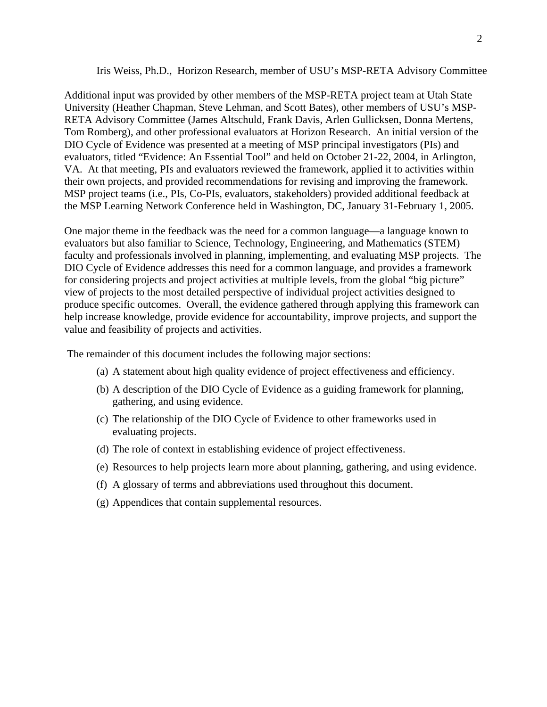Iris Weiss, Ph.D., Horizon Research, member of USU's MSP-RETA Advisory Committee

Additional input was provided by other members of the MSP-RETA project team at Utah State University (Heather Chapman, Steve Lehman, and Scott Bates), other members of USU's MSP-RETA Advisory Committee (James Altschuld, Frank Davis, Arlen Gullicksen, Donna Mertens, Tom Romberg), and other professional evaluators at Horizon Research. An initial version of the DIO Cycle of Evidence was presented at a meeting of MSP principal investigators (PIs) and evaluators, titled "Evidence: An Essential Tool" and held on October 21-22, 2004, in Arlington, VA. At that meeting, PIs and evaluators reviewed the framework, applied it to activities within their own projects, and provided recommendations for revising and improving the framework. MSP project teams (i.e., PIs, Co-PIs, evaluators, stakeholders) provided additional feedback at the MSP Learning Network Conference held in Washington, DC, January 31-February 1, 2005.

One major theme in the feedback was the need for a common language—a language known to evaluators but also familiar to Science, Technology, Engineering, and Mathematics (STEM) faculty and professionals involved in planning, implementing, and evaluating MSP projects. The DIO Cycle of Evidence addresses this need for a common language, and provides a framework for considering projects and project activities at multiple levels, from the global "big picture" view of projects to the most detailed perspective of individual project activities designed to produce specific outcomes. Overall, the evidence gathered through applying this framework can help increase knowledge, provide evidence for accountability, improve projects, and support the value and feasibility of projects and activities.

The remainder of this document includes the following major sections:

- (a) A statement about high quality evidence of project effectiveness and efficiency.
- (b) A description of the DIO Cycle of Evidence as a guiding framework for planning, gathering, and using evidence.
- (c) The relationship of the DIO Cycle of Evidence to other frameworks used in evaluating projects.
- (d) The role of context in establishing evidence of project effectiveness.
- (e) Resources to help projects learn more about planning, gathering, and using evidence.
- (f) A glossary of terms and abbreviations used throughout this document.
- (g) Appendices that contain supplemental resources.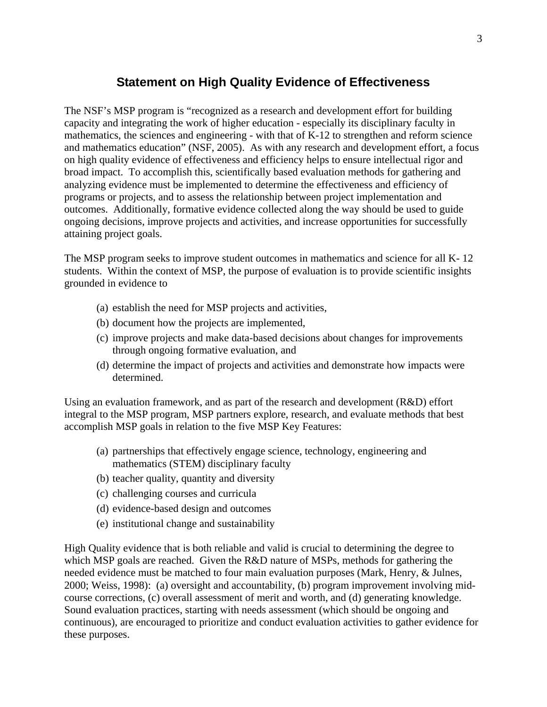# **Statement on High Quality Evidence of Effectiveness**

The NSF's MSP program is "recognized as a research and development effort for building capacity and integrating the work of higher education - especially its disciplinary faculty in mathematics, the sciences and engineering - with that of K-12 to strengthen and reform science and mathematics education" (NSF, 2005). As with any research and development effort, a focus on high quality evidence of effectiveness and efficiency helps to ensure intellectual rigor and broad impact. To accomplish this, scientifically based evaluation methods for gathering and analyzing evidence must be implemented to determine the effectiveness and efficiency of programs or projects, and to assess the relationship between project implementation and outcomes. Additionally, formative evidence collected along the way should be used to guide ongoing decisions, improve projects and activities, and increase opportunities for successfully attaining project goals.

The MSP program seeks to improve student outcomes in mathematics and science for all K- 12 students. Within the context of MSP, the purpose of evaluation is to provide scientific insights grounded in evidence to

- (a) establish the need for MSP projects and activities,
- (b) document how the projects are implemented,
- (c) improve projects and make data-based decisions about changes for improvements through ongoing formative evaluation, and
- (d) determine the impact of projects and activities and demonstrate how impacts were determined.

Using an evaluation framework, and as part of the research and development (R&D) effort integral to the MSP program, MSP partners explore, research, and evaluate methods that best accomplish MSP goals in relation to the five MSP Key Features:

- (a) partnerships that effectively engage science, technology, engineering and mathematics (STEM) disciplinary faculty
- (b) teacher quality, quantity and diversity
- (c) challenging courses and curricula
- (d) evidence-based design and outcomes
- (e) institutional change and sustainability

High Quality evidence that is both reliable and valid is crucial to determining the degree to which MSP goals are reached. Given the R&D nature of MSPs, methods for gathering the needed evidence must be matched to four main evaluation purposes (Mark, Henry, & Julnes, 2000; Weiss, 1998): (a) oversight and accountability, (b) program improvement involving midcourse corrections, (c) overall assessment of merit and worth, and (d) generating knowledge. Sound evaluation practices, starting with needs assessment (which should be ongoing and continuous), are encouraged to prioritize and conduct evaluation activities to gather evidence for these purposes.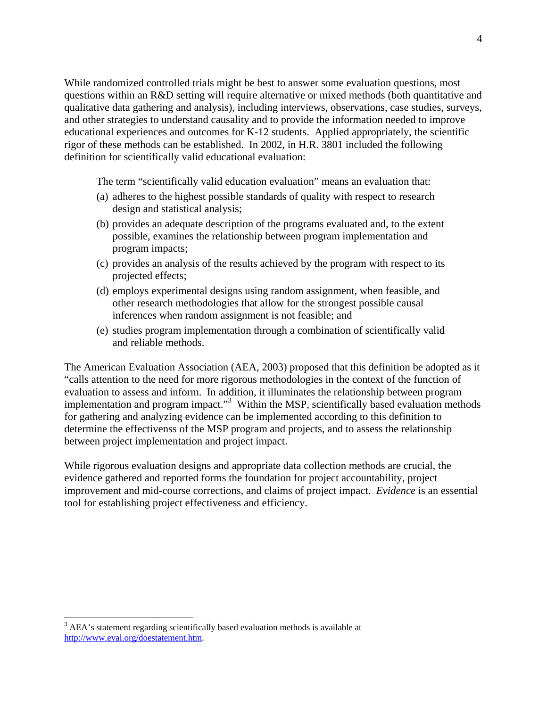4

While randomized controlled trials might be best to answer some evaluation questions, most questions within an R&D setting will require alternative or mixed methods (both quantitative and qualitative data gathering and analysis), including interviews, observations, case studies, surveys, and other strategies to understand causality and to provide the information needed to improve educational experiences and outcomes for K-12 students. Applied appropriately, the scientific rigor of these methods can be established. In 2002, in H.R. 3801 included the following definition for scientifically valid educational evaluation:

The term "scientifically valid education evaluation" means an evaluation that:

- (a) adheres to the highest possible standards of quality with respect to research design and statistical analysis;
- (b) provides an adequate description of the programs evaluated and, to the extent possible, examines the relationship between program implementation and program impacts;
- (c) provides an analysis of the results achieved by the program with respect to its projected effects;
- (d) employs experimental designs using random assignment, when feasible, and other research methodologies that allow for the strongest possible causal inferences when random assignment is not feasible; and
- (e) studies program implementation through a combination of scientifically valid and reliable methods.

The American Evaluation Association (AEA, 2003) proposed that this definition be adopted as it "calls attention to the need for more rigorous methodologies in the context of the function of evaluation to assess and inform. In addition, it illuminates the relationship between program implementation and program impact."<sup>3</sup> Within the MSP, scientifically based evaluation methods for gathering and analyzing evidence can be implemented according to this definition to determine the effectivenss of the MSP program and projects, and to assess the relationship between project implementation and project impact.

While rigorous evaluation designs and appropriate data collection methods are crucial, the evidence gathered and reported forms the foundation for project accountability, project improvement and mid-course corrections, and claims of project impact. *Evidence* is an essential tool for establishing project effectiveness and efficiency.

1

<sup>&</sup>lt;sup>3</sup> AEA's statement regarding scientifically based evaluation methods is available at [http://www.eval.org/doestatement.htm.](http://www.eval.org/doestatement.htm)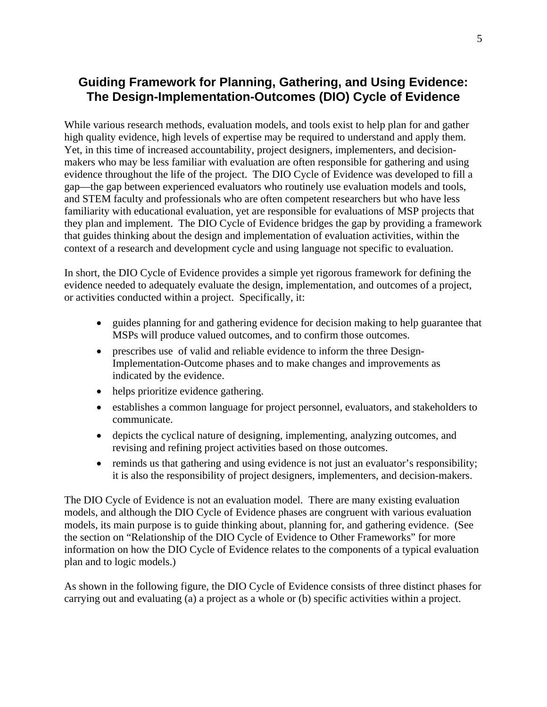# **Guiding Framework for Planning, Gathering, and Using Evidence: The Design-Implementation-Outcomes (DIO) Cycle of Evidence**

While various research methods, evaluation models, and tools exist to help plan for and gather high quality evidence, high levels of expertise may be required to understand and apply them. Yet, in this time of increased accountability, project designers, implementers, and decisionmakers who may be less familiar with evaluation are often responsible for gathering and using evidence throughout the life of the project. The DIO Cycle of Evidence was developed to fill a gap—the gap between experienced evaluators who routinely use evaluation models and tools, and STEM faculty and professionals who are often competent researchers but who have less familiarity with educational evaluation, yet are responsible for evaluations of MSP projects that they plan and implement. The DIO Cycle of Evidence bridges the gap by providing a framework that guides thinking about the design and implementation of evaluation activities, within the context of a research and development cycle and using language not specific to evaluation.

In short, the DIO Cycle of Evidence provides a simple yet rigorous framework for defining the evidence needed to adequately evaluate the design, implementation, and outcomes of a project, or activities conducted within a project. Specifically, it:

- guides planning for and gathering evidence for decision making to help guarantee that MSPs will produce valued outcomes, and to confirm those outcomes.
- prescribes use of valid and reliable evidence to inform the three Design-Implementation-Outcome phases and to make changes and improvements as indicated by the evidence.
- helps prioritize evidence gathering.
- establishes a common language for project personnel, evaluators, and stakeholders to communicate.
- depicts the cyclical nature of designing, implementing, analyzing outcomes, and revising and refining project activities based on those outcomes.
- reminds us that gathering and using evidence is not just an evaluator's responsibility; it is also the responsibility of project designers, implementers, and decision-makers.

The DIO Cycle of Evidence is not an evaluation model. There are many existing evaluation models, and although the DIO Cycle of Evidence phases are congruent with various evaluation models, its main purpose is to guide thinking about, planning for, and gathering evidence. (See the section on "Relationship of the DIO Cycle of Evidence to Other Frameworks" for more information on how the DIO Cycle of Evidence relates to the components of a typical evaluation plan and to logic models.)

As shown in the following figure, the DIO Cycle of Evidence consists of three distinct phases for carrying out and evaluating (a) a project as a whole or (b) specific activities within a project.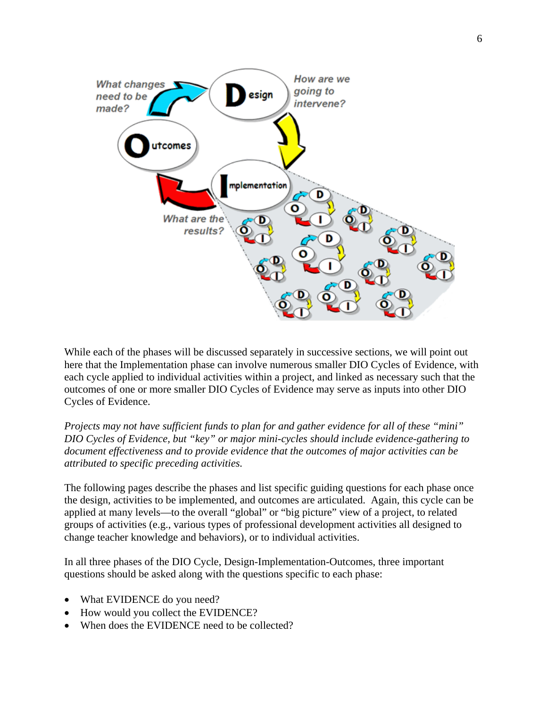

While each of the phases will be discussed separately in successive sections, we will point out here that the Implementation phase can involve numerous smaller DIO Cycles of Evidence, with each cycle applied to individual activities within a project, and linked as necessary such that the outcomes of one or more smaller DIO Cycles of Evidence may serve as inputs into other DIO Cycles of Evidence.

*Projects may not have sufficient funds to plan for and gather evidence for all of these "mini" DIO Cycles of Evidence, but "key" or major mini-cycles should include evidence-gathering to document effectiveness and to provide evidence that the outcomes of major activities can be attributed to specific preceding activities.* 

The following pages describe the phases and list specific guiding questions for each phase once the design, activities to be implemented, and outcomes are articulated. Again, this cycle can be applied at many levels—to the overall "global" or "big picture" view of a project, to related groups of activities (e.g., various types of professional development activities all designed to change teacher knowledge and behaviors), or to individual activities.

In all three phases of the DIO Cycle, Design-Implementation-Outcomes, three important questions should be asked along with the questions specific to each phase:

- What EVIDENCE do you need?
- How would you collect the EVIDENCE?
- When does the EVIDENCE need to be collected?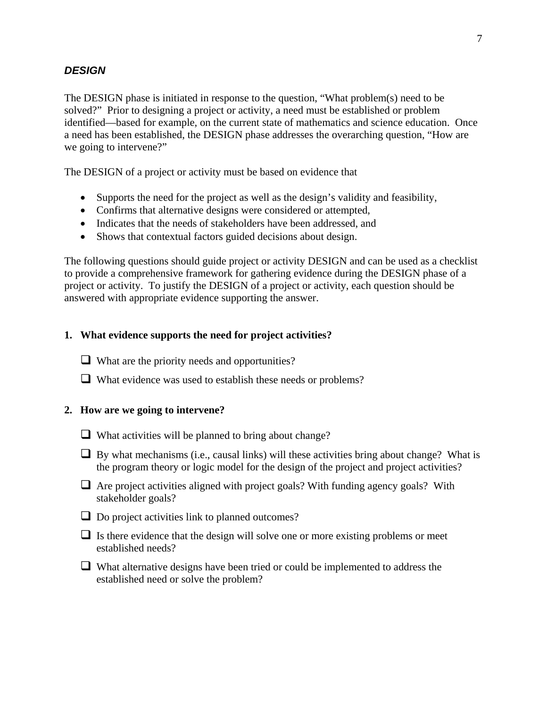# *DESIGN*

The DESIGN phase is initiated in response to the question, "What problem(s) need to be solved?" Prior to designing a project or activity, a need must be established or problem identified—based for example, on the current state of mathematics and science education. Once a need has been established, the DESIGN phase addresses the overarching question, "How are we going to intervene?"

The DESIGN of a project or activity must be based on evidence that

- Supports the need for the project as well as the design's validity and feasibility,
- Confirms that alternative designs were considered or attempted,
- Indicates that the needs of stakeholders have been addressed, and
- Shows that contextual factors guided decisions about design.

The following questions should guide project or activity DESIGN and can be used as a checklist to provide a comprehensive framework for gathering evidence during the DESIGN phase of a project or activity. To justify the DESIGN of a project or activity, each question should be answered with appropriate evidence supporting the answer.

# **1. What evidence supports the need for project activities?**

- $\Box$  What are the priority needs and opportunities?
- $\Box$  What evidence was used to establish these needs or problems?

### **2. How are we going to intervene?**

- $\Box$  What activities will be planned to bring about change?
- $\Box$  By what mechanisms (i.e., causal links) will these activities bring about change? What is the program theory or logic model for the design of the project and project activities?
- $\Box$  Are project activities aligned with project goals? With funding agency goals? With stakeholder goals?
- **□** Do project activities link to planned outcomes?
- $\Box$  Is there evidence that the design will solve one or more existing problems or meet established needs?
- $\Box$  What alternative designs have been tried or could be implemented to address the established need or solve the problem?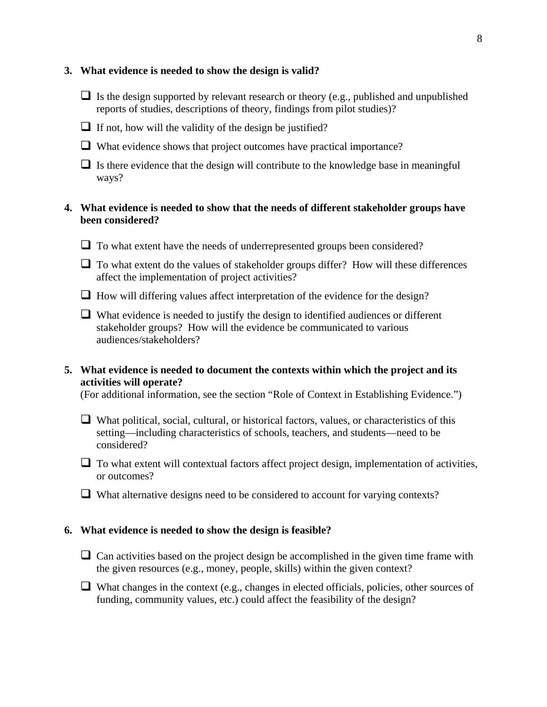## **3. What evidence is needed to show the design is valid?**

- $\Box$  Is the design supported by relevant research or theory (e.g., published and unpublished reports of studies, descriptions of theory, findings from pilot studies)?
- $\Box$  If not, how will the validity of the design be justified?
- $\Box$  What evidence shows that project outcomes have practical importance?
- $\Box$  Is there evidence that the design will contribute to the knowledge base in meaningful ways?

## **4. What evidence is needed to show that the needs of different stakeholder groups have been considered?**

- $\Box$  To what extent have the needs of underrepresented groups been considered?
- $\Box$  To what extent do the values of stakeholder groups differ? How will these differences affect the implementation of project activities?
- $\Box$  How will differing values affect interpretation of the evidence for the design?
- $\Box$  What evidence is needed to justify the design to identified audiences or different stakeholder groups? How will the evidence be communicated to various audiences/stakeholders?
- **5. What evidence is needed to document the contexts within which the project and its activities will operate?**

(For additional information, see the section "Role of Context in Establishing Evidence.")

- $\Box$  What political, social, cultural, or historical factors, values, or characteristics of this setting—including characteristics of schools, teachers, and students—need to be considered?
- $\Box$  To what extent will contextual factors affect project design, implementation of activities, or outcomes?
- What alternative designs need to be considered to account for varying contexts?

### **6. What evidence is needed to show the design is feasible?**

- $\Box$  Can activities based on the project design be accomplished in the given time frame with the given resources (e.g., money, people, skills) within the given context?
- $\Box$  What changes in the context (e.g., changes in elected officials, policies, other sources of funding, community values, etc.) could affect the feasibility of the design?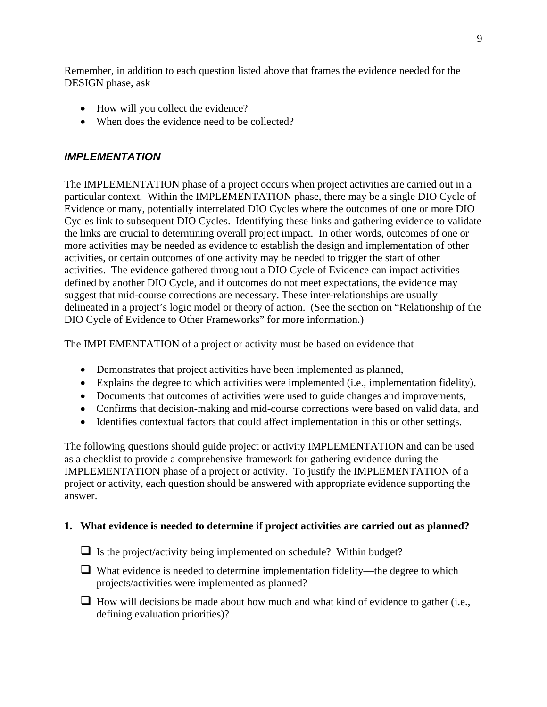Remember, in addition to each question listed above that frames the evidence needed for the DESIGN phase, ask

- How will you collect the evidence?
- When does the evidence need to be collected?

# *IMPLEMENTATION*

The IMPLEMENTATION phase of a project occurs when project activities are carried out in a particular context. Within the IMPLEMENTATION phase, there may be a single DIO Cycle of Evidence or many, potentially interrelated DIO Cycles where the outcomes of one or more DIO Cycles link to subsequent DIO Cycles. Identifying these links and gathering evidence to validate the links are crucial to determining overall project impact. In other words, outcomes of one or more activities may be needed as evidence to establish the design and implementation of other activities, or certain outcomes of one activity may be needed to trigger the start of other activities. The evidence gathered throughout a DIO Cycle of Evidence can impact activities defined by another DIO Cycle, and if outcomes do not meet expectations, the evidence may suggest that mid-course corrections are necessary. These inter-relationships are usually delineated in a project's logic model or theory of action. (See the section on "Relationship of the DIO Cycle of Evidence to Other Frameworks" for more information.)

The IMPLEMENTATION of a project or activity must be based on evidence that

- Demonstrates that project activities have been implemented as planned,
- Explains the degree to which activities were implemented (i.e., implementation fidelity),
- Documents that outcomes of activities were used to guide changes and improvements,
- Confirms that decision-making and mid-course corrections were based on valid data, and
- Identifies contextual factors that could affect implementation in this or other settings.

The following questions should guide project or activity IMPLEMENTATION and can be used as a checklist to provide a comprehensive framework for gathering evidence during the IMPLEMENTATION phase of a project or activity. To justify the IMPLEMENTATION of a project or activity, each question should be answered with appropriate evidence supporting the answer.

# **1. What evidence is needed to determine if project activities are carried out as planned?**

- $\Box$  Is the project/activity being implemented on schedule? Within budget?
- What evidence is needed to determine implementation fidelity—the degree to which projects/activities were implemented as planned?
- $\Box$  How will decisions be made about how much and what kind of evidence to gather (i.e., defining evaluation priorities)?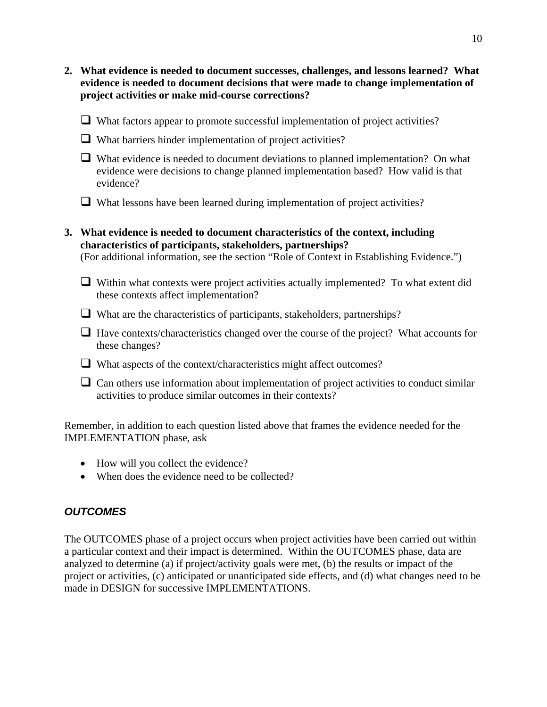- **2. What evidence is needed to document successes, challenges, and lessons learned? What evidence is needed to document decisions that were made to change implementation of project activities or make mid-course corrections?** 
	- $\Box$  What factors appear to promote successful implementation of project activities?
	- $\Box$  What barriers hinder implementation of project activities?
	- $\Box$  What evidence is needed to document deviations to planned implementation? On what evidence were decisions to change planned implementation based? How valid is that evidence?
	- $\Box$  What lessons have been learned during implementation of project activities?
- **3. What evidence is needed to document characteristics of the context, including characteristics of participants, stakeholders, partnerships?**  (For additional information, see the section "Role of Context in Establishing Evidence.")
	- $\Box$  Within what contexts were project activities actually implemented? To what extent did these contexts affect implementation?
	- $\Box$  What are the characteristics of participants, stakeholders, partnerships?
	- $\Box$  Have contexts/characteristics changed over the course of the project? What accounts for these changes?
	- $\Box$  What aspects of the context/characteristics might affect outcomes?
	- $\Box$  Can others use information about implementation of project activities to conduct similar activities to produce similar outcomes in their contexts?

Remember, in addition to each question listed above that frames the evidence needed for the IMPLEMENTATION phase, ask

- How will you collect the evidence?
- When does the evidence need to be collected?

# *OUTCOMES*

The OUTCOMES phase of a project occurs when project activities have been carried out within a particular context and their impact is determined. Within the OUTCOMES phase, data are analyzed to determine (a) if project/activity goals were met, (b) the results or impact of the project or activities, (c) anticipated or unanticipated side effects, and (d) what changes need to be made in DESIGN for successive IMPLEMENTATIONS.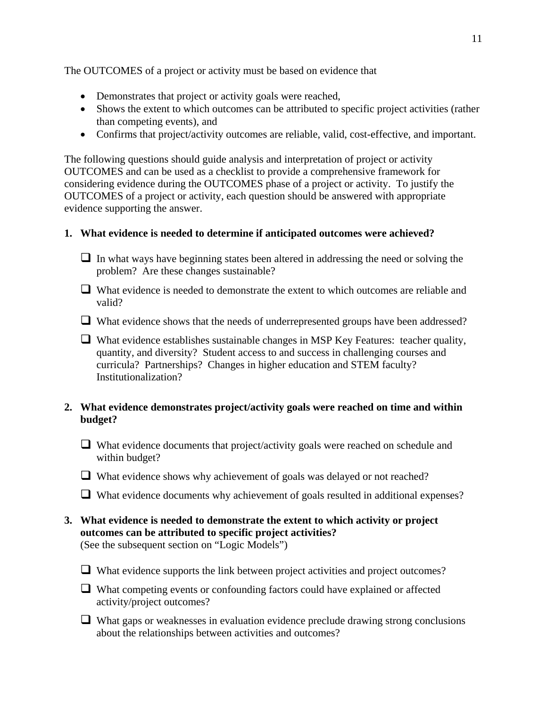The OUTCOMES of a project or activity must be based on evidence that

- Demonstrates that project or activity goals were reached,
- Shows the extent to which outcomes can be attributed to specific project activities (rather than competing events), and
- Confirms that project/activity outcomes are reliable, valid, cost-effective, and important.

The following questions should guide analysis and interpretation of project or activity OUTCOMES and can be used as a checklist to provide a comprehensive framework for considering evidence during the OUTCOMES phase of a project or activity. To justify the OUTCOMES of a project or activity, each question should be answered with appropriate evidence supporting the answer.

# **1. What evidence is needed to determine if anticipated outcomes were achieved?**

- $\Box$  In what ways have beginning states been altered in addressing the need or solving the problem? Are these changes sustainable?
- What evidence is needed to demonstrate the extent to which outcomes are reliable and valid?
- What evidence shows that the needs of underrepresented groups have been addressed?

 $\Box$  What evidence establishes sustainable changes in MSP Key Features: teacher quality, quantity, and diversity? Student access to and success in challenging courses and curricula? Partnerships? Changes in higher education and STEM faculty? Institutionalization?

# **2. What evidence demonstrates project/activity goals were reached on time and within budget?**

What evidence documents that project/activity goals were reached on schedule and within budget?

 $\Box$  What evidence shows why achievement of goals was delayed or not reached?

 $\Box$  What evidence documents why achievement of goals resulted in additional expenses?

#### **3. What evidence is needed to demonstrate the extent to which activity or project outcomes can be attributed to specific project activities?**  (See the subsequent section on "Logic Models")

What evidence supports the link between project activities and project outcomes?

- $\Box$  What competing events or confounding factors could have explained or affected activity/project outcomes?
- $\Box$  What gaps or weaknesses in evaluation evidence preclude drawing strong conclusions about the relationships between activities and outcomes?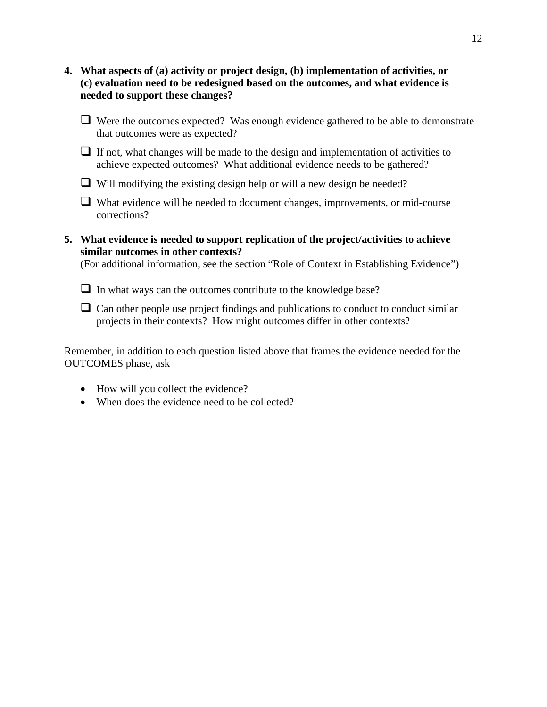- **4. What aspects of (a) activity or project design, (b) implementation of activities, or (c) evaluation need to be redesigned based on the outcomes, and what evidence is needed to support these changes?** 
	- $\Box$  Were the outcomes expected? Was enough evidence gathered to be able to demonstrate that outcomes were as expected?
	- $\Box$  If not, what changes will be made to the design and implementation of activities to achieve expected outcomes? What additional evidence needs to be gathered?
	- $\Box$  Will modifying the existing design help or will a new design be needed?
	- $\Box$  What evidence will be needed to document changes, improvements, or mid-course corrections?
- **5. What evidence is needed to support replication of the project/activities to achieve similar outcomes in other contexts?**

(For additional information, see the section "Role of Context in Establishing Evidence")

 $\Box$  In what ways can the outcomes contribute to the knowledge base?

 $\Box$  Can other people use project findings and publications to conduct to conduct similar projects in their contexts? How might outcomes differ in other contexts?

Remember, in addition to each question listed above that frames the evidence needed for the OUTCOMES phase, ask

- How will you collect the evidence?
- When does the evidence need to be collected?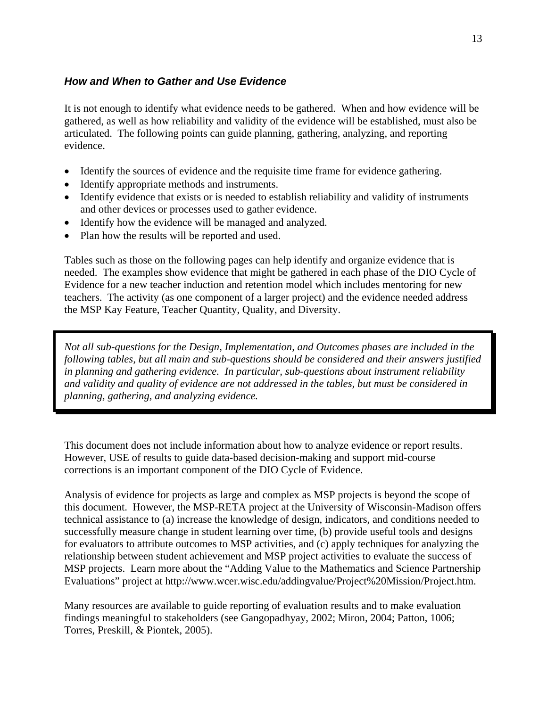# *How and When to Gather and Use Evidence*

It is not enough to identify what evidence needs to be gathered. When and how evidence will be gathered, as well as how reliability and validity of the evidence will be established, must also be articulated. The following points can guide planning, gathering, analyzing, and reporting evidence.

- Identify the sources of evidence and the requisite time frame for evidence gathering.
- Identify appropriate methods and instruments.
- Identify evidence that exists or is needed to establish reliability and validity of instruments and other devices or processes used to gather evidence.
- Identify how the evidence will be managed and analyzed.
- Plan how the results will be reported and used.

Tables such as those on the following pages can help identify and organize evidence that is needed. The examples show evidence that might be gathered in each phase of the DIO Cycle of Evidence for a new teacher induction and retention model which includes mentoring for new teachers. The activity (as one component of a larger project) and the evidence needed address the MSP Kay Feature, Teacher Quantity, Quality, and Diversity.

*Not all sub-questions for the Design, Implementation, and Outcomes phases are included in the following tables, but all main and sub-questions should be considered and their answers justified in planning and gathering evidence. In particular, sub-questions about instrument reliability and validity and quality of evidence are not addressed in the tables, but must be considered in planning, gathering, and analyzing evidence.* 

This document does not include information about how to analyze evidence or report results. However, USE of results to guide data-based decision-making and support mid-course corrections is an important component of the DIO Cycle of Evidence.

Analysis of evidence for projects as large and complex as MSP projects is beyond the scope of this document. However, the MSP-RETA project at the University of Wisconsin-Madison offers technical assistance to (a) increase the knowledge of design, indicators, and conditions needed to successfully measure change in student learning over time, (b) provide useful tools and designs for evaluators to attribute outcomes to MSP activities, and (c) apply techniques for analyzing the relationship between student achievement and MSP project activities to evaluate the success of MSP projects. Learn more about the "Adding Value to the Mathematics and Science Partnership Evaluations" project at [http://www.wcer.wisc.edu/addingvalue/Project%20Mission/Project.htm.](http://www.wcer.wisc.edu/addingvalue/Project%20Mission/Project.htm)

Many resources are available to guide reporting of evaluation results and to make evaluation findings meaningful to stakeholders (see Gangopadhyay, 2002; Miron, 2004; Patton, 1006; Torres, Preskill, & Piontek, 2005).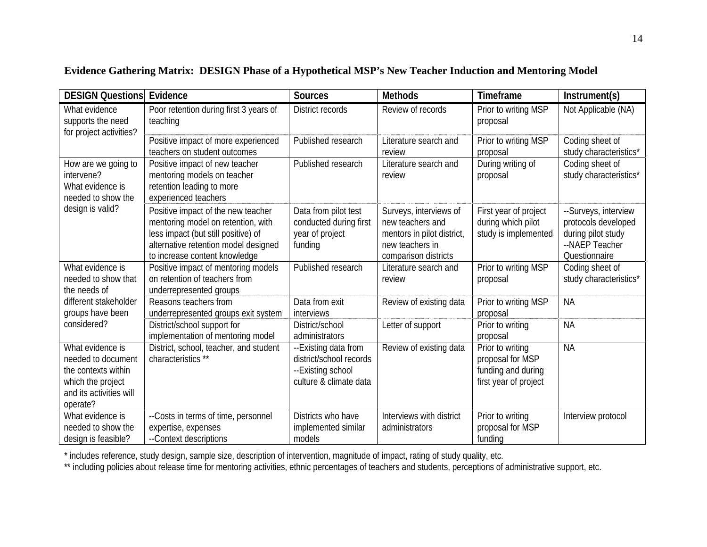| <b>DESIGN Questions</b>                                                                                                   | Evidence                                                                                                                                                                                 | <b>Sources</b>                                                                                 | <b>Methods</b>                                                                                                      | Timeframe                                                                           | Instrument(s)                                                                                        |
|---------------------------------------------------------------------------------------------------------------------------|------------------------------------------------------------------------------------------------------------------------------------------------------------------------------------------|------------------------------------------------------------------------------------------------|---------------------------------------------------------------------------------------------------------------------|-------------------------------------------------------------------------------------|------------------------------------------------------------------------------------------------------|
| What evidence<br>supports the need<br>for project activities?                                                             | Poor retention during first 3 years of<br>teaching                                                                                                                                       | District records                                                                               | Review of records                                                                                                   | Prior to writing MSP<br>proposal                                                    | Not Applicable (NA)                                                                                  |
|                                                                                                                           | Positive impact of more experienced<br>teachers on student outcomes                                                                                                                      | Published research                                                                             | Literature search and<br>review                                                                                     | Prior to writing MSP<br>proposal                                                    | Coding sheet of<br>study characteristics*                                                            |
| How are we going to<br>intervene?<br>What evidence is<br>needed to show the                                               | Positive impact of new teacher<br>mentoring models on teacher<br>retention leading to more<br>experienced teachers                                                                       | Published research                                                                             | Literature search and<br>review                                                                                     | During writing of<br>proposal                                                       | Coding sheet of<br>study characteristics*                                                            |
| design is valid?                                                                                                          | Positive impact of the new teacher<br>mentoring model on retention, with<br>less impact (but still positive) of<br>alternative retention model designed<br>to increase content knowledge | Data from pilot test<br>conducted during first<br>year of project<br>funding                   | Surveys, interviews of<br>new teachers and<br>mentors in pilot district,<br>new teachers in<br>comparison districts | First year of project<br>during which pilot<br>study is implemented                 | --Surveys, interview<br>protocols developed<br>during pilot study<br>--NAEP Teacher<br>Questionnaire |
| What evidence is<br>needed to show that<br>the needs of                                                                   | Positive impact of mentoring models<br>on retention of teachers from<br>underrepresented groups                                                                                          | Published research                                                                             | Literature search and<br>review                                                                                     | Prior to writing MSP<br>proposal                                                    | Coding sheet of<br>study characteristics*                                                            |
| different stakeholder<br>groups have been                                                                                 | Reasons teachers from<br>underrepresented groups exit system                                                                                                                             | Data from exit<br>interviews                                                                   | Review of existing data                                                                                             | Prior to writing MSP<br>proposal                                                    | <b>NA</b>                                                                                            |
| considered?                                                                                                               | District/school support for<br>implementation of mentoring model                                                                                                                         | District/school<br>administrators                                                              | Letter of support                                                                                                   | Prior to writing<br>proposal                                                        | <b>NA</b>                                                                                            |
| What evidence is<br>needed to document<br>the contexts within<br>which the project<br>and its activities will<br>operate? | District, school, teacher, and student<br>characteristics **                                                                                                                             | --Existing data from<br>district/school records<br>--Existing school<br>culture & climate data | Review of existing data                                                                                             | Prior to writing<br>proposal for MSP<br>funding and during<br>first year of project | <b>NA</b>                                                                                            |
| What evidence is<br>needed to show the<br>design is feasible?                                                             | --Costs in terms of time, personnel<br>expertise, expenses<br>--Context descriptions                                                                                                     | Districts who have<br>implemented similar<br>models                                            | Interviews with district<br>administrators                                                                          | Prior to writing<br>proposal for MSP<br>funding                                     | Interview protocol                                                                                   |

# **Evidence Gathering Matrix: DESIGN Phase of a Hypothetical MSP's New Teacher Induction and Mentoring Model**

\* includes reference, study design, sample size, description of intervention, magnitude of impact, rating of study quality, etc.

\*\* including policies about release time for mentoring activities, ethnic percentages of teachers and students, perceptions of administrative support, etc.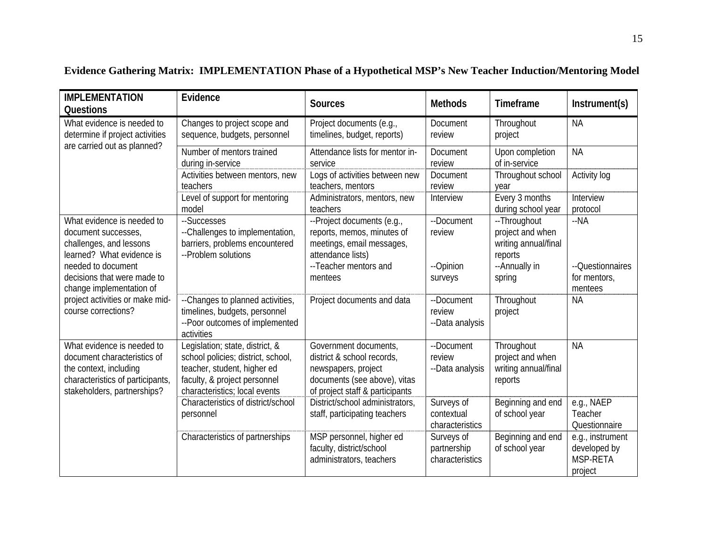| <b>IMPLEMENTATION</b><br>Questions                                                                                                                     | Evidence                                                                                                                                                              | <b>Sources</b>                                                                                                                                | <b>Methods</b>                               | <b>Timeframe</b>                                                                      | Instrument(s)                                                  |
|--------------------------------------------------------------------------------------------------------------------------------------------------------|-----------------------------------------------------------------------------------------------------------------------------------------------------------------------|-----------------------------------------------------------------------------------------------------------------------------------------------|----------------------------------------------|---------------------------------------------------------------------------------------|----------------------------------------------------------------|
| What evidence is needed to<br>determine if project activities                                                                                          | Changes to project scope and<br>sequence, budgets, personnel                                                                                                          | Project documents (e.g.,<br>timelines, budget, reports)                                                                                       | Document<br>review                           | Throughout<br>project                                                                 | <b>NA</b>                                                      |
| are carried out as planned?                                                                                                                            | Number of mentors trained<br>during in-service                                                                                                                        | Attendance lists for mentor in-<br>service                                                                                                    | Document<br>review                           | Upon completion<br>of in-service                                                      | <b>NA</b>                                                      |
|                                                                                                                                                        | Activities between mentors, new<br>teachers                                                                                                                           | Logs of activities between new<br>teachers, mentors                                                                                           | Document<br>review                           | Throughout school<br>year                                                             | Activity log                                                   |
|                                                                                                                                                        | Level of support for mentoring<br>model                                                                                                                               | Administrators, mentors, new<br>teachers                                                                                                      | Interview                                    | Every 3 months<br>during school year                                                  | Interview<br>protocol                                          |
| What evidence is needed to<br>document successes,<br>challenges, and lessons<br>learned? What evidence is<br>needed to document                        | --Successes<br>--Challenges to implementation,<br>barriers, problems encountered<br>--Problem solutions                                                               | --Project documents (e.g.,<br>reports, memos, minutes of<br>meetings, email messages,<br>attendance lists)<br>--Teacher mentors and           | --Document<br>review<br>--Opinion            | -- Throughout<br>project and when<br>writing annual/final<br>reports<br>--Annually in | $-NA$<br>--Questionnaires                                      |
| decisions that were made to<br>change implementation of                                                                                                |                                                                                                                                                                       | mentees                                                                                                                                       | surveys                                      | spring                                                                                | for mentors,<br>mentees                                        |
| project activities or make mid-<br>course corrections?                                                                                                 | --Changes to planned activities,<br>timelines, budgets, personnel<br>--Poor outcomes of implemented<br>activities                                                     | Project documents and data                                                                                                                    | --Document<br>review<br>--Data analysis      | Throughout<br>project                                                                 | <b>NA</b>                                                      |
| What evidence is needed to<br>document characteristics of<br>the context, including<br>characteristics of participants,<br>stakeholders, partnerships? | Legislation; state, district, &<br>school policies; district, school,<br>teacher, student, higher ed<br>faculty, & project personnel<br>characteristics; local events | Government documents,<br>district & school records,<br>newspapers, project<br>documents (see above), vitas<br>of project staff & participants | --Document<br>review<br>--Data analysis      | Throughout<br>project and when<br>writing annual/final<br>reports                     | <b>NA</b>                                                      |
|                                                                                                                                                        | Characteristics of district/school<br>personnel                                                                                                                       | District/school administrators,<br>staff, participating teachers                                                                              | Surveys of<br>contextual<br>characteristics  | Beginning and end<br>of school year                                                   | e.g., NAEP<br>Teacher<br>Questionnaire                         |
|                                                                                                                                                        | Characteristics of partnerships                                                                                                                                       | MSP personnel, higher ed<br>faculty, district/school<br>administrators, teachers                                                              | Surveys of<br>partnership<br>characteristics | Beginning and end<br>of school year                                                   | e.g., instrument<br>developed by<br><b>MSP-RETA</b><br>project |

# **Evidence Gathering Matrix: IMPLEMENTATION Phase of a Hypothetical MSP's New Teacher Induction/Mentoring Model**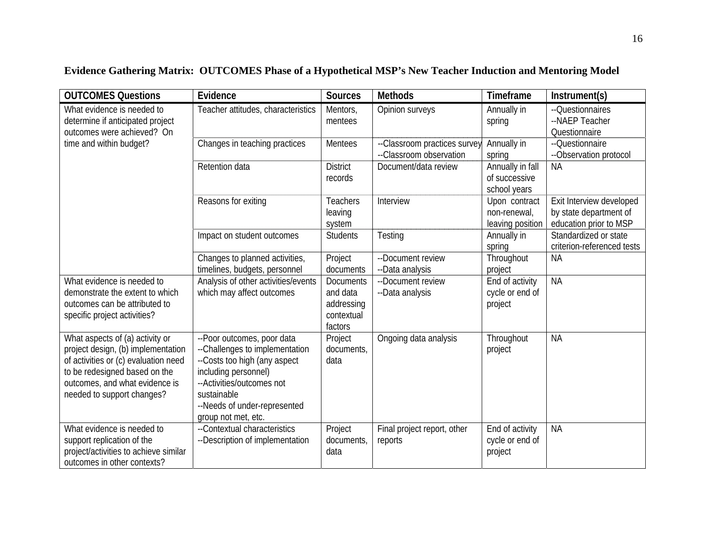| <b>OUTCOMES Questions</b>                                                                                                                                                                                      | Evidence                                                                                                                                                                                                                 | Sources                                                             | <b>Methods</b>                                          | Timeframe                                         | Instrument(s)                                                                |
|----------------------------------------------------------------------------------------------------------------------------------------------------------------------------------------------------------------|--------------------------------------------------------------------------------------------------------------------------------------------------------------------------------------------------------------------------|---------------------------------------------------------------------|---------------------------------------------------------|---------------------------------------------------|------------------------------------------------------------------------------|
| What evidence is needed to<br>determine if anticipated project<br>outcomes were achieved? On                                                                                                                   | Teacher attitudes, characteristics                                                                                                                                                                                       | Mentors,<br>mentees                                                 | Opinion surveys                                         | Annually in<br>spring                             | --Questionnaires<br>--NAEP Teacher<br>Questionnaire                          |
| time and within budget?                                                                                                                                                                                        | Changes in teaching practices                                                                                                                                                                                            | <b>Mentees</b>                                                      | --Classroom practices survey<br>--Classroom observation | Annually in<br>spring                             | --Questionnaire<br>--Observation protocol                                    |
|                                                                                                                                                                                                                | Retention data                                                                                                                                                                                                           | <b>District</b><br>records                                          | Document/data review                                    | Annually in fall<br>of successive<br>school years | <b>NA</b>                                                                    |
|                                                                                                                                                                                                                | Reasons for exiting                                                                                                                                                                                                      | <b>Teachers</b><br>leaving<br>system                                | Interview                                               | Upon contract<br>non-renewal,<br>leaving position | Exit Interview developed<br>by state department of<br>education prior to MSP |
|                                                                                                                                                                                                                | Impact on student outcomes                                                                                                                                                                                               | <b>Students</b>                                                     | Testing                                                 | Annually in<br>spring                             | Standardized or state<br>criterion-referenced tests                          |
|                                                                                                                                                                                                                | Changes to planned activities,<br>timelines, budgets, personnel                                                                                                                                                          | Project<br>documents                                                | --Document review<br>--Data analysis                    | Throughout<br>project                             | <b>NA</b>                                                                    |
| What evidence is needed to<br>demonstrate the extent to which<br>outcomes can be attributed to<br>specific project activities?                                                                                 | Analysis of other activities/events<br>which may affect outcomes                                                                                                                                                         | <b>Documents</b><br>and data<br>addressing<br>contextual<br>factors | --Document review<br>--Data analysis                    | End of activity<br>cycle or end of<br>project     | <b>NA</b>                                                                    |
| What aspects of (a) activity or<br>project design, (b) implementation<br>of activities or (c) evaluation need<br>to be redesigned based on the<br>outcomes, and what evidence is<br>needed to support changes? | --Poor outcomes, poor data<br>--Challenges to implementation<br>--Costs too high (any aspect<br>including personnel)<br>-- Activities/outcomes not<br>sustainable<br>--Needs of under-represented<br>group not met, etc. | Project<br>documents,<br>data                                       | Ongoing data analysis                                   | Throughout<br>project                             | <b>NA</b>                                                                    |
| What evidence is needed to<br>support replication of the<br>project/activities to achieve similar<br>outcomes in other contexts?                                                                               | --Contextual characteristics<br>--Description of implementation                                                                                                                                                          | Project<br>documents,<br>data                                       | Final project report, other<br>reports                  | End of activity<br>cycle or end of<br>project     | <b>NA</b>                                                                    |

# **Evidence Gathering Matrix: OUTCOMES Phase of a Hypothetical MSP's New Teacher Induction and Mentoring Model**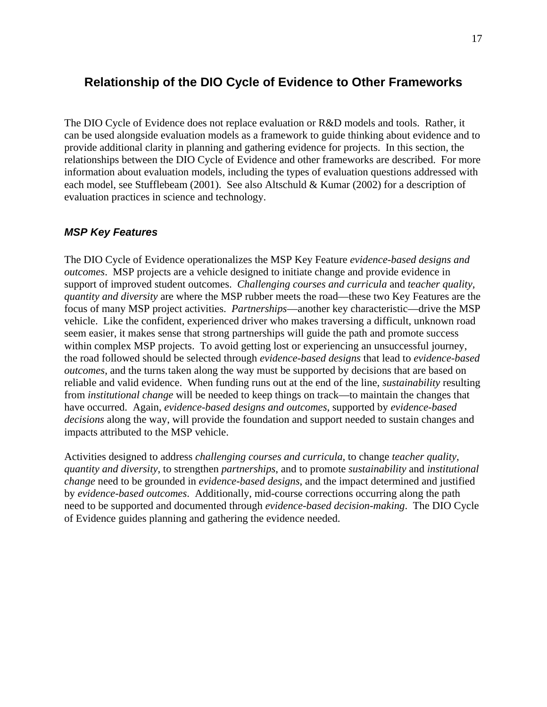# **Relationship of the DIO Cycle of Evidence to Other Frameworks**

The DIO Cycle of Evidence does not replace evaluation or R&D models and tools. Rather, it can be used alongside evaluation models as a framework to guide thinking about evidence and to provide additional clarity in planning and gathering evidence for projects. In this section, the relationships between the DIO Cycle of Evidence and other frameworks are described. For more information about evaluation models, including the types of evaluation questions addressed with each model, see Stufflebeam (2001). See also Altschuld & Kumar (2002) for a description of evaluation practices in science and technology.

# *MSP Key Features*

The DIO Cycle of Evidence operationalizes the MSP Key Feature *evidence-based designs and outcomes*. MSP projects are a vehicle designed to initiate change and provide evidence in support of improved student outcomes. *Challenging courses and curricula* and *teacher quality, quantity and diversity* are where the MSP rubber meets the road—these two Key Features are the focus of many MSP project activities. *Partnerships*—another key characteristic—drive the MSP vehicle. Like the confident, experienced driver who makes traversing a difficult, unknown road seem easier, it makes sense that strong partnerships will guide the path and promote success within complex MSP projects. To avoid getting lost or experiencing an unsuccessful journey, the road followed should be selected through *evidence-based designs* that lead to *evidence-based outcomes*, and the turns taken along the way must be supported by decisions that are based on reliable and valid evidence. When funding runs out at the end of the line, *sustainability* resulting from *institutional change* will be needed to keep things on track—to maintain the changes that have occurred. Again, *evidence-based designs and outcomes*, supported by *evidence-based decisions* along the way, will provide the foundation and support needed to sustain changes and impacts attributed to the MSP vehicle.

Activities designed to address *challenging courses and curricula*, to change *teacher quality, quantity and diversity*, to strengthen *partnerships*, and to promote *sustainability* and *institutional change* need to be grounded in *evidence-based designs*, and the impact determined and justified by *evidence-based outcomes*. Additionally, mid-course corrections occurring along the path need to be supported and documented through *evidence-based decision-making*. The DIO Cycle of Evidence guides planning and gathering the evidence needed.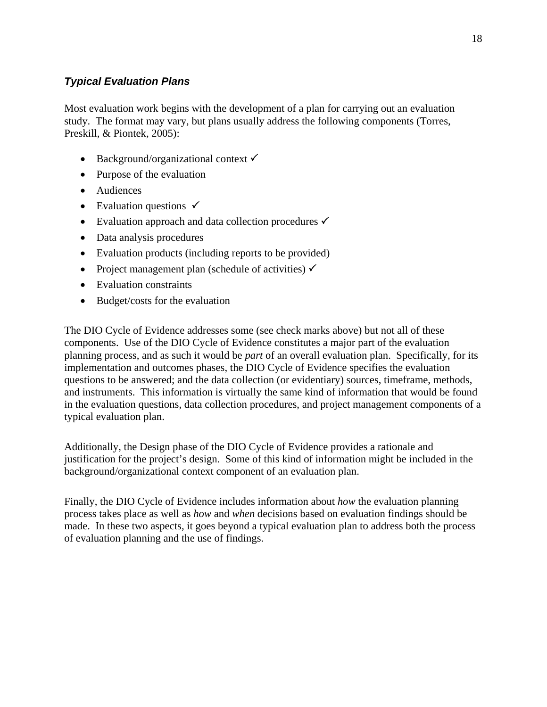# *Typical Evaluation Plans*

Most evaluation work begins with the development of a plan for carrying out an evaluation study. The format may vary, but plans usually address the following components (Torres, Preskill, & Piontek, 2005):

- Background/organizational context  $\checkmark$
- Purpose of the evaluation
- Audiences
- Evaluation questions  $\checkmark$
- Evaluation approach and data collection procedures  $\checkmark$
- Data analysis procedures
- Evaluation products (including reports to be provided)
- Project management plan (schedule of activities)  $\checkmark$
- Evaluation constraints
- Budget/costs for the evaluation

The DIO Cycle of Evidence addresses some (see check marks above) but not all of these components. Use of the DIO Cycle of Evidence constitutes a major part of the evaluation planning process, and as such it would be *part* of an overall evaluation plan. Specifically, for its implementation and outcomes phases, the DIO Cycle of Evidence specifies the evaluation questions to be answered; and the data collection (or evidentiary) sources, timeframe, methods, and instruments. This information is virtually the same kind of information that would be found in the evaluation questions, data collection procedures, and project management components of a typical evaluation plan.

Additionally, the Design phase of the DIO Cycle of Evidence provides a rationale and justification for the project's design. Some of this kind of information might be included in the background/organizational context component of an evaluation plan.

Finally, the DIO Cycle of Evidence includes information about *how* the evaluation planning process takes place as well as *how* and *when* decisions based on evaluation findings should be made. In these two aspects, it goes beyond a typical evaluation plan to address both the process of evaluation planning and the use of findings.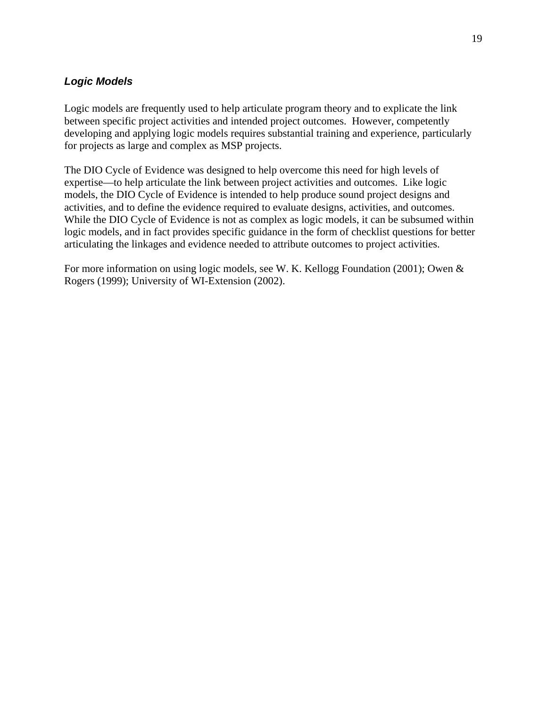# *Logic Models*

Logic models are frequently used to help articulate program theory and to explicate the link between specific project activities and intended project outcomes. However, competently developing and applying logic models requires substantial training and experience, particularly for projects as large and complex as MSP projects.

The DIO Cycle of Evidence was designed to help overcome this need for high levels of expertise—to help articulate the link between project activities and outcomes. Like logic models, the DIO Cycle of Evidence is intended to help produce sound project designs and activities, and to define the evidence required to evaluate designs, activities, and outcomes. While the DIO Cycle of Evidence is not as complex as logic models, it can be subsumed within logic models, and in fact provides specific guidance in the form of checklist questions for better articulating the linkages and evidence needed to attribute outcomes to project activities.

For more information on using logic models, see W. K. Kellogg Foundation (2001); Owen & Rogers (1999); University of WI-Extension (2002).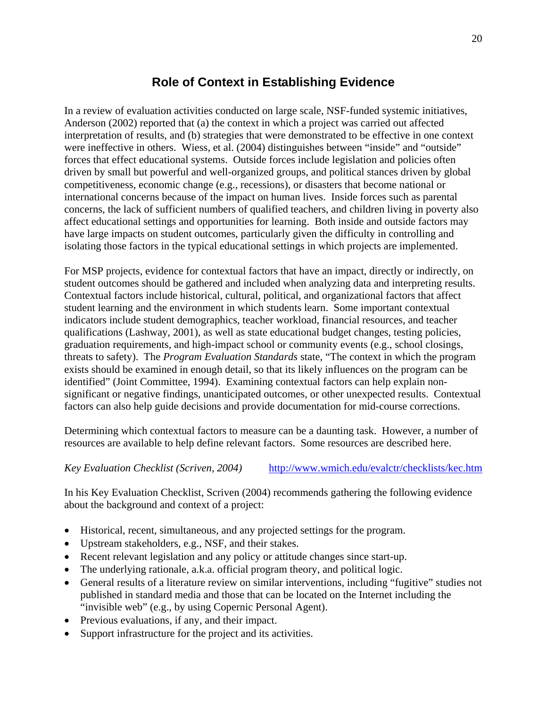# **Role of Context in Establishing Evidence**

In a review of evaluation activities conducted on large scale, NSF-funded systemic initiatives, Anderson (2002) reported that (a) the context in which a project was carried out affected interpretation of results, and (b) strategies that were demonstrated to be effective in one context were ineffective in others. Wiess, et al. (2004) distinguishes between "inside" and "outside" forces that effect educational systems. Outside forces include legislation and policies often driven by small but powerful and well-organized groups, and political stances driven by global competitiveness, economic change (e.g., recessions), or disasters that become national or international concerns because of the impact on human lives. Inside forces such as parental concerns, the lack of sufficient numbers of qualified teachers, and children living in poverty also affect educational settings and opportunities for learning. Both inside and outside factors may have large impacts on student outcomes, particularly given the difficulty in controlling and isolating those factors in the typical educational settings in which projects are implemented.

For MSP projects, evidence for contextual factors that have an impact, directly or indirectly, on student outcomes should be gathered and included when analyzing data and interpreting results. Contextual factors include historical, cultural, political, and organizational factors that affect student learning and the environment in which students learn. Some important contextual indicators include student demographics, teacher workload, financial resources, and teacher qualifications (Lashway, 2001), as well as state educational budget changes, testing policies, graduation requirements, and high-impact school or community events (e.g., school closings, threats to safety). The *Program Evaluation Standards* state, "The context in which the program exists should be examined in enough detail, so that its likely influences on the program can be identified" (Joint Committee, 1994). Examining contextual factors can help explain nonsignificant or negative findings, unanticipated outcomes, or other unexpected results. Contextual factors can also help guide decisions and provide documentation for mid-course corrections.

Determining which contextual factors to measure can be a daunting task. However, a number of resources are available to help define relevant factors. Some resources are described here.

# *Key Evaluation Checklist (Scriven, 2004)* <http://www.wmich.edu/evalctr/checklists/kec.htm>

In his Key Evaluation Checklist, Scriven (2004) recommends gathering the following evidence about the background and context of a project:

- Historical, recent, simultaneous, and any projected settings for the program.
- Upstream stakeholders, e.g., NSF, and their stakes.
- Recent relevant legislation and any policy or attitude changes since start-up.
- The underlying rationale, a.k.a. official program theory, and political logic.
- General results of a literature review on similar interventions, including "fugitive" studies not published in standard media and those that can be located on the Internet including the "invisible web" (e.g., by using Copernic Personal Agent).
- Previous evaluations, if any, and their impact.
- Support infrastructure for the project and its activities.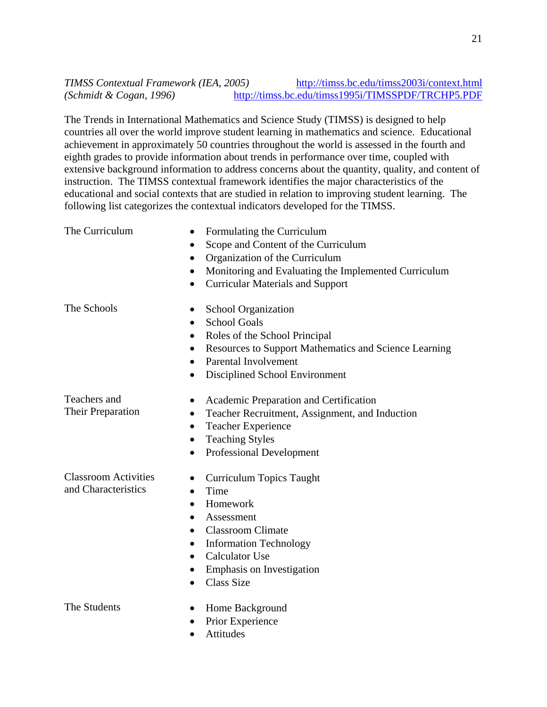# *TIMSS Contextual Framework (IEA, 2005)* <http://timss.bc.edu/timss2003i/context.html> *(Schmidt & Cogan, 1996)* <http://timss.bc.edu/timss1995i/TIMSSPDF/TRCHP5.PDF>

The Trends in International Mathematics and Science Study (TIMSS) is designed to help countries all over the world improve student learning in mathematics and science. Educational achievement in approximately 50 countries throughout the world is assessed in the fourth and eighth grades to provide information about trends in performance over time, coupled with extensive background information to address concerns about the quantity, quality, and content of instruction. The TIMSS contextual framework identifies the major characteristics of the educational and social contexts that are studied in relation to improving student learning. The following list categorizes the contextual indicators developed for the TIMSS.

- The Curriculum Formulating the Curriculum
	- Scope and Content of the Curriculum
	- Organization of the Curriculum
	- Monitoring and Evaluating the Implemented Curriculum
	- Curricular Materials and Support
- Teachers and Their Preparation Classroom Activities and Characteristics • Time
	- Class Size

- The Students Home Background
	- Prior Experience
	- Attitudes

# • Academic Preparation and Certification

- Teacher Recruitment, Assignment, and Induction
- Teacher Experience
- Teaching Styles
- Professional Development
- Curriculum Topics Taught
- Homework
- Assessment
- Classroom Climate
- Information Technology
- Calculator Use
- Emphasis on Investigation
- 
- The Schools School Organization
	- School Goals
	- Roles of the School Principal
	- Resources to Support Mathematics and Science Learning
	- Parental Involvement
	- Disciplined School Environment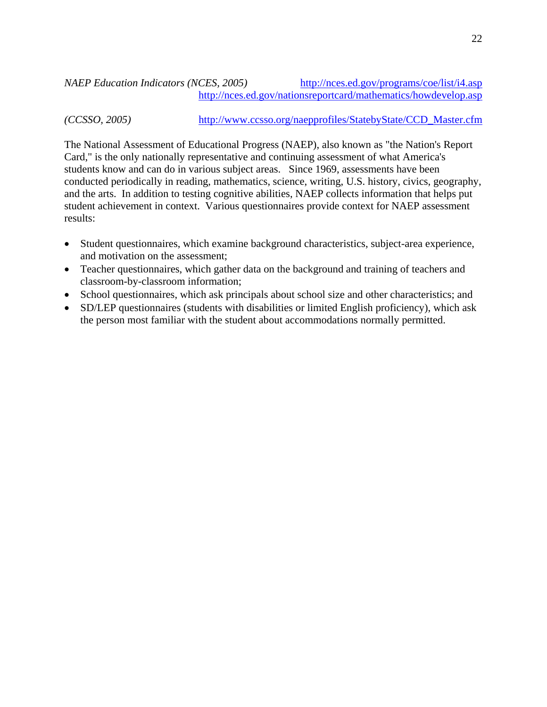# *NAEP Education Indicators (NCES, 2005)* <http://nces.ed.gov/programs/coe/list/i4.asp> <http://nces.ed.gov/nationsreportcard/mathematics/howdevelop.asp>

*(CCSSO, 2005)* [http://www.ccsso.org/naepprofiles/StatebyState/CCD\\_Master.cfm](http://www.ccsso.org/naepprofiles/StatebyState/CCD_Master.cfm)

The National Assessment of Educational Progress (NAEP), also known as "the Nation's Report Card," is the only nationally representative and continuing assessment of what America's students know and can do in various subject areas. Since 1969, assessments have been conducted periodically in reading, mathematics, science, writing, U.S. history, civics, geography, and the arts. In addition to testing cognitive abilities, NAEP collects information that helps put student achievement in context. Various questionnaires provide context for NAEP assessment results:

- Student questionnaires, which examine background characteristics, subject-area experience, and motivation on the assessment;
- Teacher questionnaires, which gather data on the background and training of teachers and classroom-by-classroom information;
- School questionnaires, which ask principals about school size and other characteristics; and
- SD/LEP questionnaires (students with disabilities or limited English proficiency), which ask the person most familiar with the student about accommodations normally permitted.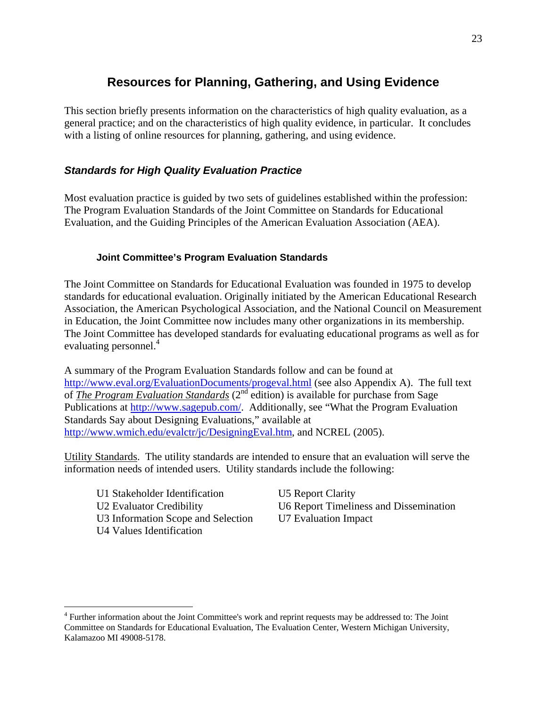# **Resources for Planning, Gathering, and Using Evidence**

This section briefly presents information on the characteristics of high quality evaluation, as a general practice; and on the characteristics of high quality evidence, in particular. It concludes with a listing of online resources for planning, gathering, and using evidence.

# *Standards for High Quality Evaluation Practice*

Most evaluation practice is guided by two sets of guidelines established within the profession: The Program Evaluation Standards of the Joint Committee on Standards for Educational Evaluation, and the Guiding Principles of the American Evaluation Association (AEA).

# **Joint Committee's Program Evaluation Standards**

The Joint Committee on Standards for Educational Evaluation was founded in 1975 to develop standards for educational evaluation. Originally initiated by the American Educational Research Association, the American Psychological Association, and the National Council on Measurement in Education, the Joint Committee now includes many other organizations in its membership. The Joint Committee has developed standards for evaluating educational programs as well as for evaluating personnel. $4$ 

A summary of the Program Evaluation Standards follow and can be found at <http://www.eval.org/EvaluationDocuments/progeval.html>(see also Appendix A). The full text of *The Program Evaluation Standards* (2<sup>nd</sup> edition) is available for purchase from Sage Publications at [http://www.sagepub.com/.](http://www.sagepub.com/) Additionally, see "What the Program Evaluation Standards Say about Designing Evaluations," available at [http://www.wmich.edu/evalctr/jc/DesigningEval.htm,](http://www.wmich.edu/evalctr/jc/DesigningEval.htm) and NCREL (2005).

Utility Standards. The utility standards are intended to ensure that an evaluation will serve the information needs of intended users. Utility standards include the following:

U1 Stakeholder Identification U2 Evaluator Credibility U3 Information Scope and Selection U4 Values Identification

1

U5 Report Clarity U6 Report Timeliness and Dissemination U7 Evaluation Impact

<sup>&</sup>lt;sup>4</sup> Further information about the Joint Committee's work and reprint requests may be addressed to: The Joint Committee on Standards for Educational Evaluation, The Evaluation Center, Western Michigan University, Kalamazoo MI 49008-5178.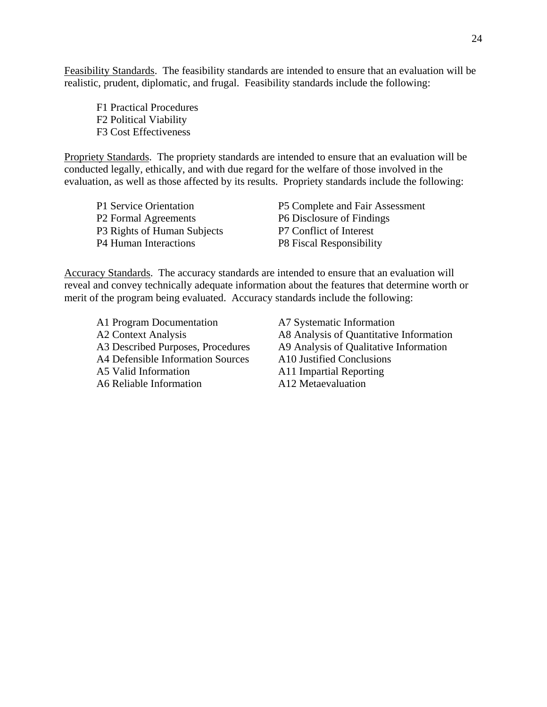Feasibility Standards. The feasibility standards are intended to ensure that an evaluation will be realistic, prudent, diplomatic, and frugal. Feasibility standards include the following:

F1 Practical Procedures F2 Political Viability F3 Cost Effectiveness

Propriety Standards. The propriety standards are intended to ensure that an evaluation will be conducted legally, ethically, and with due regard for the welfare of those involved in the evaluation, as well as those affected by its results. Propriety standards include the following:

| P1 Service Orientation       |
|------------------------------|
| P2 Formal Agreements         |
| P3 Rights of Human Subjects  |
| <b>P4 Human Interactions</b> |

P5 Complete and Fair Assessment P6 Disclosure of Findings P7 Conflict of Interest P8 Fiscal Responsibility

Accuracy Standards. The accuracy standards are intended to ensure that an evaluation will reveal and convey technically adequate information about the features that determine worth or merit of the program being evaluated. Accuracy standards include the following:

A1 Program Documentation A2 Context Analysis A3 Described Purposes, Procedures A4 Defensible Information Sources A5 Valid Information A6 Reliable Information

A7 Systematic Information A8 Analysis of Quantitative Information A9 Analysis of Qualitative Information A10 Justified Conclusions A11 Impartial Reporting A12 Metaevaluation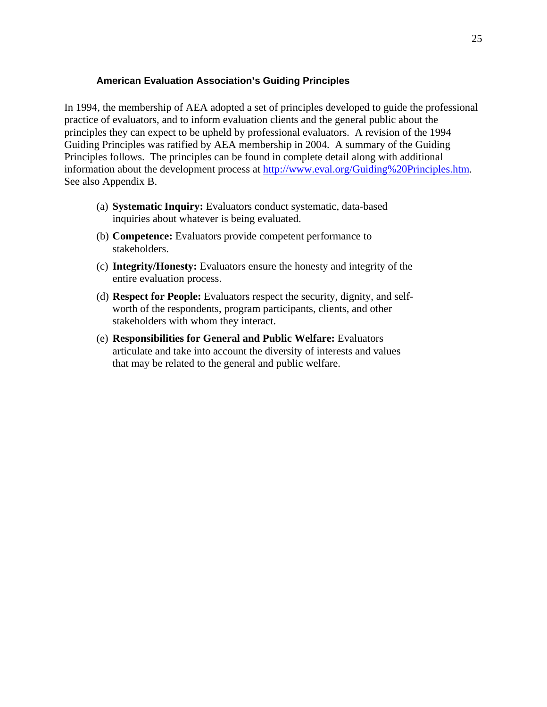#### **American Evaluation Association's Guiding Principles**

In 1994, the membership of AEA adopted a set of principles developed to guide the professional practice of evaluators, and to inform evaluation clients and the general public about the principles they can expect to be upheld by professional evaluators. A revision of the 1994 Guiding Principles was ratified by AEA membership in 2004. A summary of the Guiding Principles follows. The principles can be found in complete detail along with additional information about the development process at [http://www.eval.org/Guiding%20Principles.htm.](http://www.eval.org/Guiding%20Principles.htm) See also Appendix B.

- (a) **Systematic Inquiry:** Evaluators conduct systematic, data-based inquiries about whatever is being evaluated.
- (b) **Competence:** Evaluators provide competent performance to stakeholders.
- (c) **Integrity/Honesty:** Evaluators ensure the honesty and integrity of the entire evaluation process.
- (d) **Respect for People:** Evaluators respect the security, dignity, and selfworth of the respondents, program participants, clients, and other stakeholders with whom they interact.
- (e) **Responsibilities for General and Public Welfare:** Evaluators articulate and take into account the diversity of interests and values that may be related to the general and public welfare.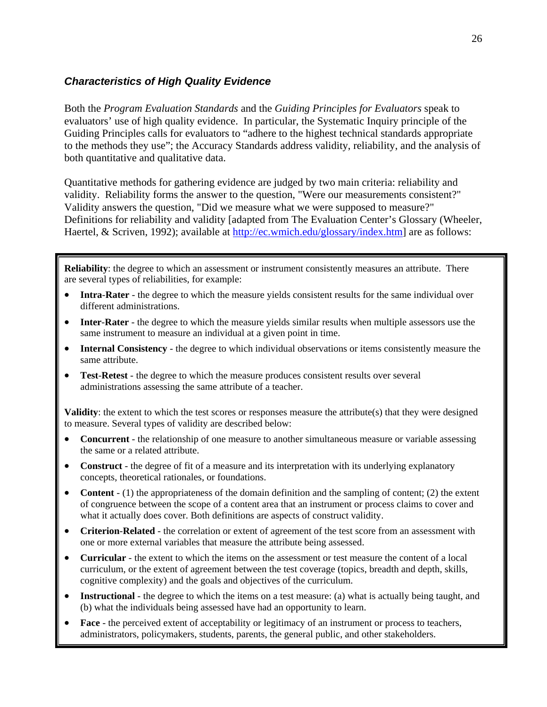# *Characteristics of High Quality Evidence*

Both the *Program Evaluation Standards* and the *Guiding Principles for Evaluators* speak to evaluators' use of high quality evidence. In particular, the Systematic Inquiry principle of the Guiding Principles calls for evaluators to "adhere to the highest technical standards appropriate to the methods they use"; the Accuracy Standards address validity, reliability, and the analysis of both quantitative and qualitative data.

Quantitative methods for gathering evidence are judged by two main criteria: reliability and validity. Reliability forms the answer to the question, "Were our measurements consistent?" Validity answers the question, "Did we measure what we were supposed to measure?" Definitions for reliability and validity [adapted from The Evaluation Center's Glossary (Wheeler, Haertel, & Scriven, 1992); available at [http://ec.wmich.edu/glossary/index.htm\]](http://ec.wmich.edu/glossary/index.htm) are as follows:

**Reliability**: the degree to which an assessment or instrument consistently measures an attribute. There are several types of reliabilities, for example:

- **Intra**-**Rater** the degree to which the measure yields consistent results for the same individual over different administrations.
- **Inter-Rater** the degree to which the measure yields similar results when multiple assessors use the same instrument to measure an individual at a given point in time.
- **Internal Consistency** the degree to which individual observations or items consistently measure the same attribute.
- **Test**-**Retest** the degree to which the measure produces consistent results over several administrations assessing the same attribute of a teacher.

**Validity**: the extent to which the test scores or responses measure the attribute(s) that they were designed to measure. Several types of validity are described below:

- **Concurrent** the relationship of one measure to another simultaneous measure or variable assessing the same or a related attribute.
- **Construct** the degree of fit of a measure and its interpretation with its underlying explanatory concepts, theoretical rationales, or foundations.
- **Content** (1) the appropriateness of the domain definition and the sampling of content; (2) the extent of congruence between the scope of a content area that an instrument or process claims to cover and what it actually does cover. Both definitions are aspects of construct validity.
- **Criterion**-**Related** the correlation or extent of agreement of the test score from an assessment with one or more external variables that measure the attribute being assessed.
- **Curricular** the extent to which the items on the assessment or test measure the content of a local curriculum, or the extent of agreement between the test coverage (topics, breadth and depth, skills, cognitive complexity) and the goals and objectives of the curriculum.
- **Instructional** the degree to which the items on a test measure: (a) what is actually being taught, and (b) what the individuals being assessed have had an opportunity to learn.
- **Face** the perceived extent of acceptability or legitimacy of an instrument or process to teachers, administrators, policymakers, students, parents, the general public, and other stakeholders.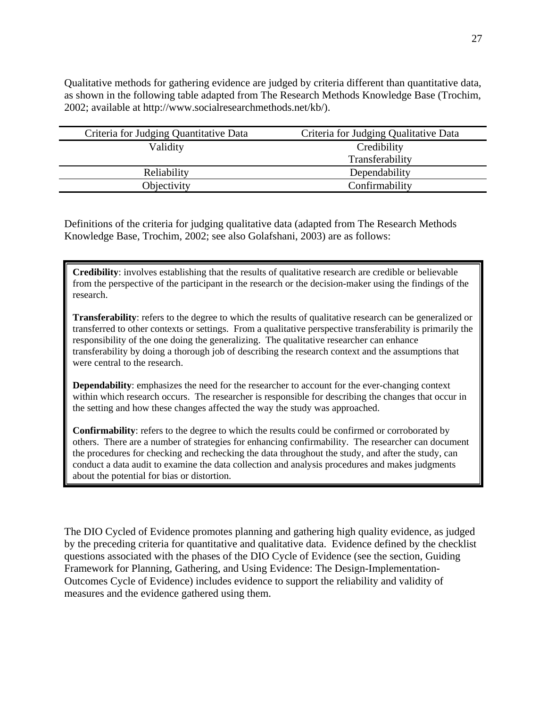Qualitative methods for gathering evidence are judged by criteria different than quantitative data, as shown in the following table adapted from The Research Methods Knowledge Base (Trochim, 2002; available at [http://www.socialresearchmethods.net/kb](http://www.socialresearchmethods.net/kb/)/).

| Criteria for Judging Quantitative Data | Criteria for Judging Qualitative Data |
|----------------------------------------|---------------------------------------|
| Validity                               | Credibility                           |
|                                        | Transferability                       |
| Reliability                            | Dependability                         |
| Objectivity                            | Confirmability                        |

Definitions of the criteria for judging qualitative data (adapted from The Research Methods Knowledge Base, Trochim, 2002; see also Golafshani, 2003) are as follows:

**Credibility**: involves establishing that the results of qualitative research are credible or believable from the perspective of the participant in the research or the decision-maker using the findings of the research.

**Transferability**: refers to the degree to which the results of qualitative research can be generalized or transferred to other contexts or settings. From a qualitative perspective transferability is primarily the responsibility of the one doing the generalizing. The qualitative researcher can enhance transferability by doing a thorough job of describing the research context and the assumptions that were central to the research.

**Dependability:** emphasizes the need for the researcher to account for the ever-changing context within which research occurs. The researcher is responsible for describing the changes that occur in the setting and how these changes affected the way the study was approached.

**Confirmability**: refers to the degree to which the results could be confirmed or corroborated by others. There are a number of strategies for enhancing confirmability. The researcher can document the procedures for checking and rechecking the data throughout the study, and after the study, can conduct a data audit to examine the data collection and analysis procedures and makes judgments about the potential for bias or distortion.

The DIO Cycled of Evidence promotes planning and gathering high quality evidence, as judged by the preceding criteria for quantitative and qualitative data. Evidence defined by the checklist questions associated with the phases of the DIO Cycle of Evidence (see the section, Guiding Framework for Planning, Gathering, and Using Evidence: The Design-Implementation-Outcomes Cycle of Evidence) includes evidence to support the reliability and validity of measures and the evidence gathered using them.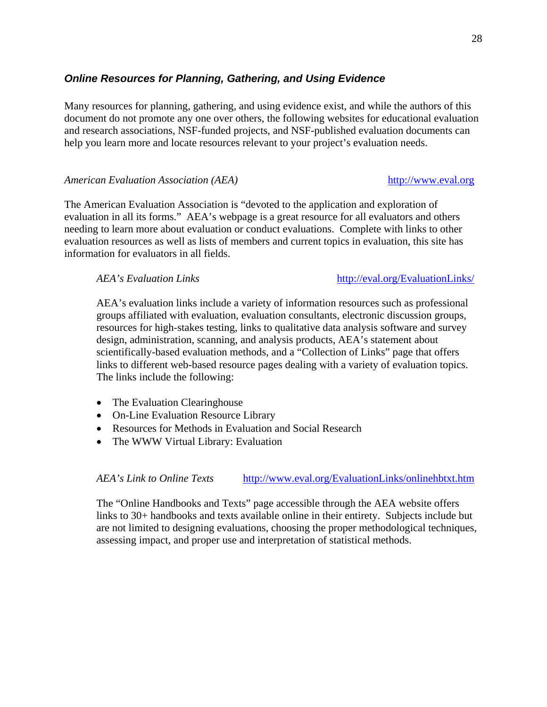# *Online Resources for Planning, Gathering, and Using Evidence*

Many resources for planning, gathering, and using evidence exist, and while the authors of this document do not promote any one over others, the following websites for educational evaluation and research associations, NSF-funded projects, and NSF-published evaluation documents can help you learn more and locate resources relevant to your project's evaluation needs.

#### *American Evaluation Association (AEA)* <http://www.eval.org>

The American Evaluation Association is "devoted to the application and exploration of evaluation in all its forms." AEA's webpage is a great resource for all evaluators and others needing to learn more about evaluation or conduct evaluations. Complete with links to other evaluation resources as well as lists of members and current topics in evaluation, this site has information for evaluators in all fields.

# *AEA's Evaluation Links* <http://eval.org/EvaluationLinks/>

AEA's evaluation links include a variety of information resources such as professional groups affiliated with evaluation, evaluation consultants, electronic discussion groups, resources for high-stakes testing, links to qualitative data analysis software and survey design, administration, scanning, and analysis products, AEA's statement about scientifically-based evaluation methods, and a "Collection of Links" page that offers links to different web-based resource pages dealing with a variety of evaluation topics. The links include the following:

- The Evaluation Clearinghouse
- On-Line Evaluation Resource Library
- Resources for Methods in Evaluation and Social Research
- The WWW Virtual Library: Evaluation

# *AEA's Link to Online Texts* <http://www.eval.org/EvaluationLinks/onlinehbtxt.htm>

The "Online Handbooks and Texts" page accessible through the AEA website offers links to 30+ handbooks and texts available online in their entirety. Subjects include but are not limited to designing evaluations, choosing the proper methodological techniques, assessing impact, and proper use and interpretation of statistical methods.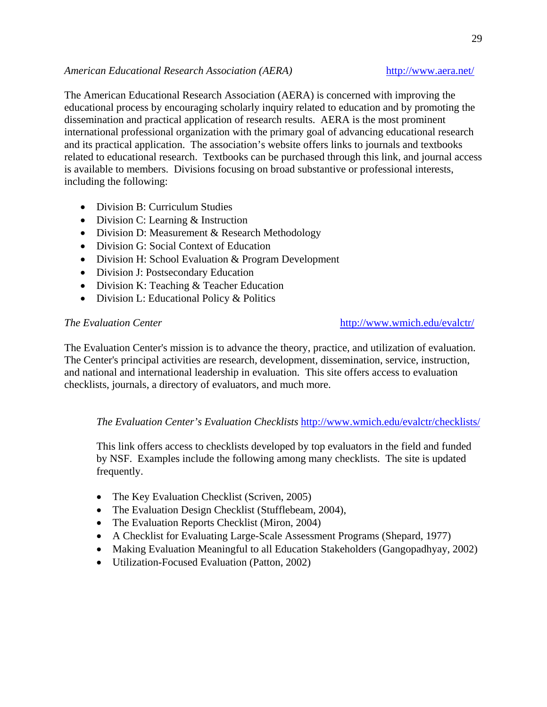#### *American Educational Research Association (AERA)* <http://www.aera.net/>

The American Educational Research Association (AERA) is concerned with improving the educational process by encouraging scholarly inquiry related to education and by promoting the dissemination and practical application of research results. AERA is the most prominent international professional organization with the primary goal of advancing educational research and its practical application. The association's website offers links to journals and textbooks related to educational research. Textbooks can be purchased through this link, and journal access is available to members. Divisions focusing on broad substantive or professional interests, including the following:

- Division B: Curriculum Studies
- Division C: Learning & Instruction
- Division D: Measurement & Research Methodology
- Division G: Social Context of Education
- Division H: School Evaluation & Program Development
- Division J: Postsecondary Education
- Division K: Teaching & Teacher Education
- Division L: Educational Policy & Politics

## *The Evaluation Center* **<http://www.wmich.edu/evalctr/>**

The Evaluation Center's mission is to advance the theory, practice, and utilization of evaluation. The Center's principal activities are research, development, dissemination, service, instruction, and national and international leadership in evaluation. This site offers access to evaluation checklists, journals, a directory of evaluators, and much more.

### *The Evaluation Center's Evaluation Checklists* <http://www.wmich.edu/evalctr/checklists/>

This link offers access to checklists developed by top evaluators in the field and funded by NSF. Examples include the following among many checklists. The site is updated frequently.

- The Key Evaluation Checklist (Scriven, 2005)
- The Evaluation Design Checklist (Stufflebeam, 2004),
- The Evaluation Reports Checklist (Miron, 2004)
- A Checklist for Evaluating Large-Scale Assessment Programs (Shepard, 1977)
- Making Evaluation Meaningful to all Education Stakeholders (Gangopadhyay, 2002)
- Utilization-Focused Evaluation (Patton, 2002)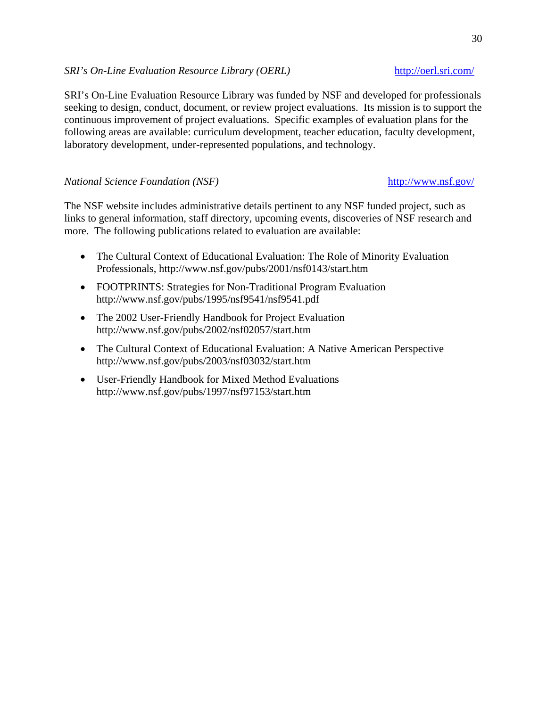SRI's On-Line Evaluation Resource Library was funded by NSF and developed for professionals seeking to design, conduct, document, or review project evaluations. Its mission is to support the continuous improvement of project evaluations. Specific examples of evaluation plans for the following areas are available: curriculum development, teacher education, faculty development, laboratory development, under-represented populations, and technology.

# *National Science Foundation (NSF)* <http://www.nsf.gov/>

The NSF website includes administrative details pertinent to any NSF funded project, such as links to general information, staff directory, upcoming events, discoveries of NSF research and more. The following publications related to evaluation are available:

- The Cultural Context of Educational Evaluation: The Role of Minority Evaluation Professionals,<http://www.nsf.gov/pubs/2001/nsf0143/start.htm>
- FOOTPRINTS: Strategies for Non-Traditional Program Evaluation <http://www.nsf.gov/pubs/1995/nsf9541/nsf9541.pdf>
- The 2002 User-Friendly Handbook for Project Evaluation <http://www.nsf.gov/pubs/2002/nsf02057/start.htm>
- The Cultural Context of Educational Evaluation: A Native American Perspective <http://www.nsf.gov/pubs/2003/nsf03032/start.htm>
- User-Friendly Handbook for Mixed Method Evaluations <http://www.nsf.gov/pubs/1997/nsf97153/start.htm>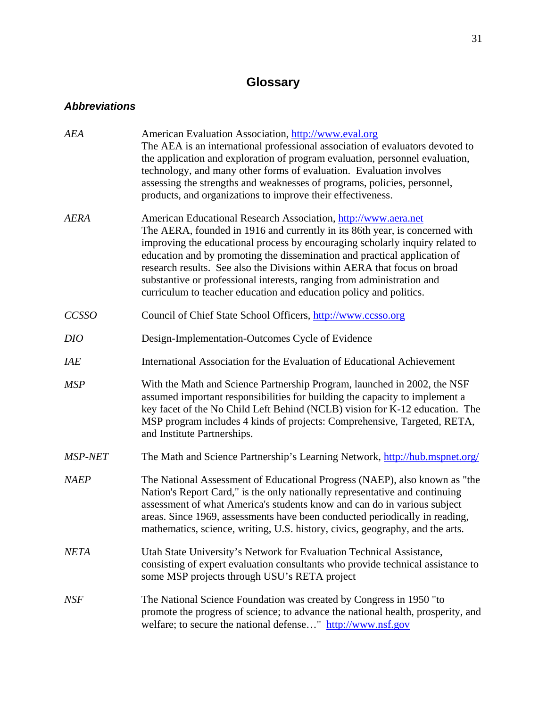# **Glossary**

# *Abbreviations*

| <b>AEA</b>   | American Evaluation Association, http://www.eval.org<br>The AEA is an international professional association of evaluators devoted to<br>the application and exploration of program evaluation, personnel evaluation,<br>technology, and many other forms of evaluation. Evaluation involves<br>assessing the strengths and weaknesses of programs, policies, personnel,<br>products, and organizations to improve their effectiveness.                                                                                                 |
|--------------|-----------------------------------------------------------------------------------------------------------------------------------------------------------------------------------------------------------------------------------------------------------------------------------------------------------------------------------------------------------------------------------------------------------------------------------------------------------------------------------------------------------------------------------------|
| <b>AERA</b>  | American Educational Research Association, http://www.aera.net<br>The AERA, founded in 1916 and currently in its 86th year, is concerned with<br>improving the educational process by encouraging scholarly inquiry related to<br>education and by promoting the dissemination and practical application of<br>research results. See also the Divisions within AERA that focus on broad<br>substantive or professional interests, ranging from administration and<br>curriculum to teacher education and education policy and politics. |
| <b>CCSSO</b> | Council of Chief State School Officers, http://www.ccsso.org                                                                                                                                                                                                                                                                                                                                                                                                                                                                            |
| DIO          | Design-Implementation-Outcomes Cycle of Evidence                                                                                                                                                                                                                                                                                                                                                                                                                                                                                        |
| <b>IAE</b>   | International Association for the Evaluation of Educational Achievement                                                                                                                                                                                                                                                                                                                                                                                                                                                                 |
| <b>MSP</b>   | With the Math and Science Partnership Program, launched in 2002, the NSF<br>assumed important responsibilities for building the capacity to implement a<br>key facet of the No Child Left Behind (NCLB) vision for K-12 education. The<br>MSP program includes 4 kinds of projects: Comprehensive, Targeted, RETA,<br>and Institute Partnerships.                                                                                                                                                                                       |
| MSP-NET      | The Math and Science Partnership's Learning Network, http://hub.mspnet.org/                                                                                                                                                                                                                                                                                                                                                                                                                                                             |
| <b>NAEP</b>  | The National Assessment of Educational Progress (NAEP), also known as "the<br>Nation's Report Card," is the only nationally representative and continuing<br>assessment of what America's students know and can do in various subject<br>areas. Since 1969, assessments have been conducted periodically in reading,<br>mathematics, science, writing, U.S. history, civics, geography, and the arts.                                                                                                                                   |
| <b>NETA</b>  | Utah State University's Network for Evaluation Technical Assistance,<br>consisting of expert evaluation consultants who provide technical assistance to<br>some MSP projects through USU's RETA project                                                                                                                                                                                                                                                                                                                                 |
| NSF          | The National Science Foundation was created by Congress in 1950 "to<br>promote the progress of science; to advance the national health, prosperity, and<br>welfare; to secure the national defense" http://www.nsf.gov                                                                                                                                                                                                                                                                                                                  |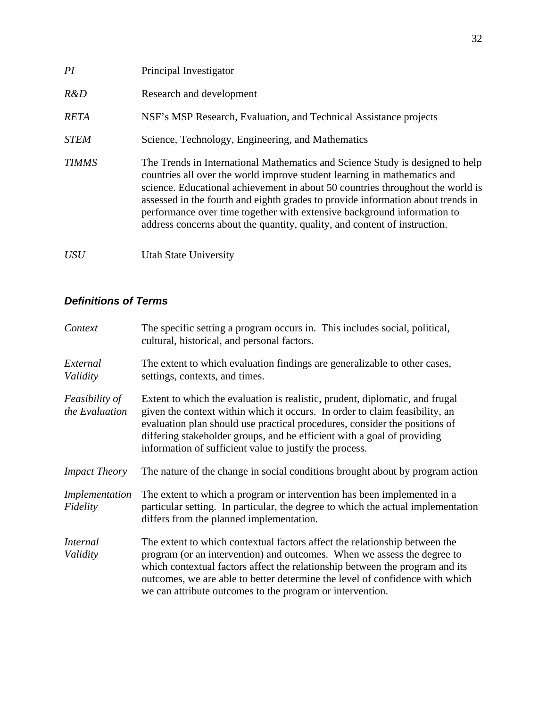| PI           | Principal Investigator                                                                                                                                                                                                                                                                                                                                                                                                                                                                 |
|--------------|----------------------------------------------------------------------------------------------------------------------------------------------------------------------------------------------------------------------------------------------------------------------------------------------------------------------------------------------------------------------------------------------------------------------------------------------------------------------------------------|
| R&D          | Research and development                                                                                                                                                                                                                                                                                                                                                                                                                                                               |
| <b>RETA</b>  | NSF's MSP Research, Evaluation, and Technical Assistance projects                                                                                                                                                                                                                                                                                                                                                                                                                      |
| <b>STEM</b>  | Science, Technology, Engineering, and Mathematics                                                                                                                                                                                                                                                                                                                                                                                                                                      |
| <b>TIMMS</b> | The Trends in International Mathematics and Science Study is designed to help<br>countries all over the world improve student learning in mathematics and<br>science. Educational achievement in about 50 countries throughout the world is<br>assessed in the fourth and eighth grades to provide information about trends in<br>performance over time together with extensive background information to<br>address concerns about the quantity, quality, and content of instruction. |
| <i>USU</i>   | <b>Utah State University</b>                                                                                                                                                                                                                                                                                                                                                                                                                                                           |

# *Definitions of Terms*

| Context                          | The specific setting a program occurs in. This includes social, political,<br>cultural, historical, and personal factors.                                                                                                                                                                                                                                                          |
|----------------------------------|------------------------------------------------------------------------------------------------------------------------------------------------------------------------------------------------------------------------------------------------------------------------------------------------------------------------------------------------------------------------------------|
| External<br>Validity             | The extent to which evaluation findings are generalizable to other cases,<br>settings, contexts, and times.                                                                                                                                                                                                                                                                        |
| Feasibility of<br>the Evaluation | Extent to which the evaluation is realistic, prudent, diplomatic, and frugal<br>given the context within which it occurs. In order to claim feasibility, an<br>evaluation plan should use practical procedures, consider the positions of<br>differing stakeholder groups, and be efficient with a goal of providing<br>information of sufficient value to justify the process.    |
| <b>Impact Theory</b>             | The nature of the change in social conditions brought about by program action                                                                                                                                                                                                                                                                                                      |
| Implementation<br>Fidelity       | The extent to which a program or intervention has been implemented in a<br>particular setting. In particular, the degree to which the actual implementation<br>differs from the planned implementation.                                                                                                                                                                            |
| <i>Internal</i><br>Validity      | The extent to which contextual factors affect the relationship between the<br>program (or an intervention) and outcomes. When we assess the degree to<br>which contextual factors affect the relationship between the program and its<br>outcomes, we are able to better determine the level of confidence with which<br>we can attribute outcomes to the program or intervention. |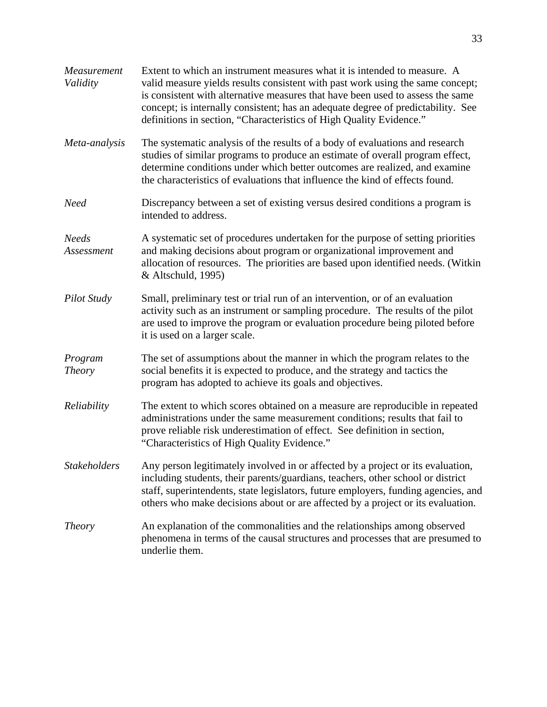| Measurement<br>Validity    | Extent to which an instrument measures what it is intended to measure. A<br>valid measure yields results consistent with past work using the same concept;<br>is consistent with alternative measures that have been used to assess the same<br>concept; is internally consistent; has an adequate degree of predictability. See<br>definitions in section, "Characteristics of High Quality Evidence." |
|----------------------------|---------------------------------------------------------------------------------------------------------------------------------------------------------------------------------------------------------------------------------------------------------------------------------------------------------------------------------------------------------------------------------------------------------|
| Meta-analysis              | The systematic analysis of the results of a body of evaluations and research<br>studies of similar programs to produce an estimate of overall program effect,<br>determine conditions under which better outcomes are realized, and examine<br>the characteristics of evaluations that influence the kind of effects found.                                                                             |
| <b>Need</b>                | Discrepancy between a set of existing versus desired conditions a program is<br>intended to address.                                                                                                                                                                                                                                                                                                    |
| <b>Needs</b><br>Assessment | A systematic set of procedures undertaken for the purpose of setting priorities<br>and making decisions about program or organizational improvement and<br>allocation of resources. The priorities are based upon identified needs. (Witkin<br>& Altschuld, 1995)                                                                                                                                       |
| Pilot Study                | Small, preliminary test or trial run of an intervention, or of an evaluation<br>activity such as an instrument or sampling procedure. The results of the pilot<br>are used to improve the program or evaluation procedure being piloted before<br>it is used on a larger scale.                                                                                                                         |
| Program<br><b>Theory</b>   | The set of assumptions about the manner in which the program relates to the<br>social benefits it is expected to produce, and the strategy and tactics the<br>program has adopted to achieve its goals and objectives.                                                                                                                                                                                  |
| Reliability                | The extent to which scores obtained on a measure are reproducible in repeated<br>administrations under the same measurement conditions; results that fail to<br>prove reliable risk underestimation of effect. See definition in section,<br>"Characteristics of High Quality Evidence."                                                                                                                |
| Stakeholders               | Any person legitimately involved in or affected by a project or its evaluation,<br>including students, their parents/guardians, teachers, other school or district<br>staff, superintendents, state legislators, future employers, funding agencies, and<br>others who make decisions about or are affected by a project or its evaluation.                                                             |
| <i>Theory</i>              | An explanation of the commonalities and the relationships among observed<br>phenomena in terms of the causal structures and processes that are presumed to<br>underlie them.                                                                                                                                                                                                                            |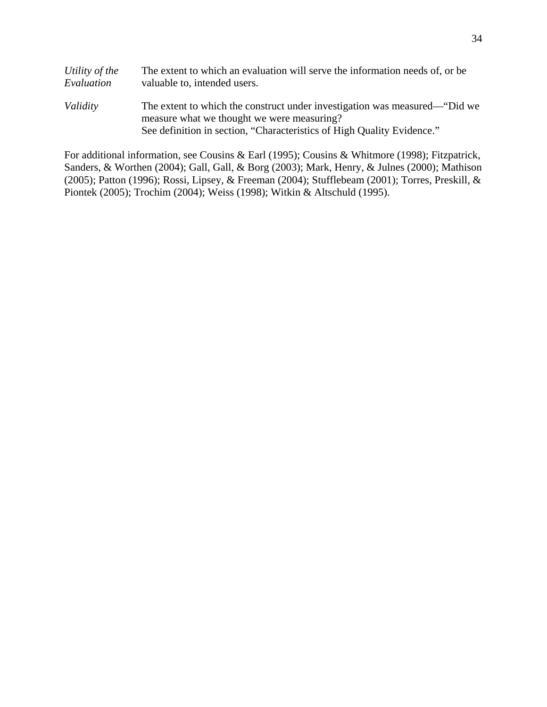| Utility of the<br>Evaluation | The extent to which an evaluation will serve the information needs of, or be<br>valuable to, intended users.             |
|------------------------------|--------------------------------------------------------------------------------------------------------------------------|
| Validity                     | The extent to which the construct under investigation was measured—"Did we<br>measure what we thought we were measuring? |
|                              | See definition in section, "Characteristics of High Quality Evidence."                                                   |

For additional information, see Cousins & Earl (1995); Cousins & Whitmore (1998); Fitzpatrick, Sanders, & Worthen (2004); Gall, Gall, & Borg (2003); Mark, Henry, & Julnes (2000); Mathison (2005); Patton (1996); Rossi, Lipsey, & Freeman (2004); Stufflebeam (2001); Torres, Preskill, & Piontek (2005); Trochim (2004); Weiss (1998); Witkin & Altschuld (1995).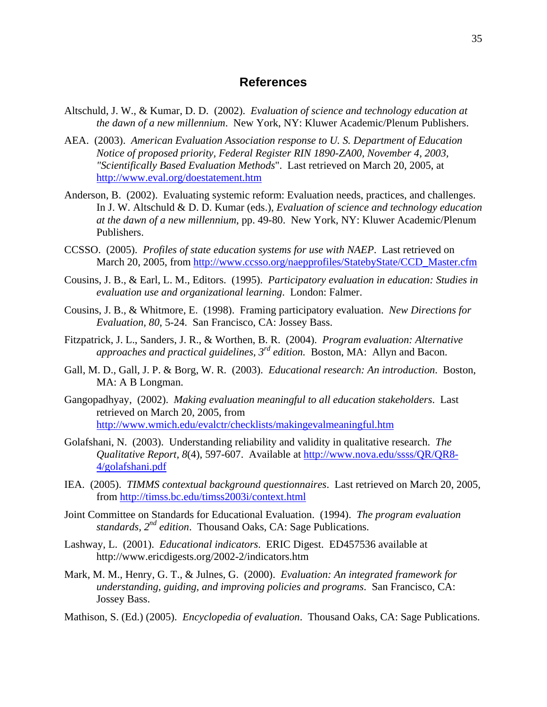# **References**

- Altschuld, J. W., & Kumar, D. D. (2002). *Evaluation of science and technology education at the dawn of a new millennium*. New York, NY: Kluwer Academic/Plenum Publishers.
- AEA. (2003). *American Evaluation Association response to U. S. Department of Education Notice of proposed priority, Federal Register RIN 1890-ZA00, November 4, 2003, "Scientifically Based Evaluation Methods*". Last retrieved on March 20, 2005, at <http://www.eval.org/doestatement.htm>
- Anderson, B. (2002). Evaluating systemic reform: Evaluation needs, practices, and challenges. In J. W. Altschuld & D. D. Kumar (eds.), *Evaluation of science and technology education at the dawn of a new millennium*, pp. 49-80. New York, NY: Kluwer Academic/Plenum Publishers.
- CCSSO. (2005). *Profiles of state education systems for use with NAEP*. Last retrieved on March 20, 2005, from [http://www.ccsso.org/naepprofiles/StatebyState/CCD\\_Master.cfm](http://www.ccsso.org/naepprofiles/StatebyState/CCD_Master.cfm)
- Cousins, J. B., & Earl, L. M., Editors. (1995). *Participatory evaluation in education: Studies in evaluation use and organizational learning*. London: Falmer.
- Cousins, J. B., & Whitmore, E. (1998). Framing participatory evaluation. *New Directions for Evaluation, 80*, 5-24. San Francisco, CA: Jossey Bass.
- Fitzpatrick, J. L., Sanders, J. R., & Worthen, B. R. (2004). *Program evaluation: Alternative approaches and practical guidelines, 3rd edition.* Boston, MA: Allyn and Bacon.
- Gall, M. D., Gall, J. P. & Borg, W. R. (2003). *Educational research: An introduction*. Boston, MA: A B Longman.
- Gangopadhyay, (2002). *Making evaluation meaningful to all education stakeholders*. Last retrieved on March 20, 2005, from <http://www.wmich.edu/evalctr/checklists/makingevalmeaningful.htm>
- Golafshani, N. (2003). Understanding reliability and validity in qualitative research. *The Qualitative Report, 8*(4), 597-607. Available at<http://www.nova.edu/ssss/QR/QR8-> 4/golafshani.pdf
- IEA. (2005). *TIMMS contextual background questionnaires*. Last retrieved on March 20, 2005, from<http://timss.bc.edu/timss2003i/context.html>
- Joint Committee on Standards for Educational Evaluation. (1994). *The program evaluation standards, 2nd edition*. Thousand Oaks, CA: Sage Publications.
- Lashway, L. (2001). *Educational indicators*. ERIC Digest. ED457536 available at <http://www.ericdigests.org/2002-2/indicators.htm>
- Mark, M. M., Henry, G. T., & Julnes, G. (2000). *Evaluation: An integrated framework for understanding, guiding, and improving policies and programs*. San Francisco, CA: Jossey Bass.
- Mathison, S. (Ed.) (2005). *Encyclopedia of evaluation*. Thousand Oaks, CA: Sage Publications.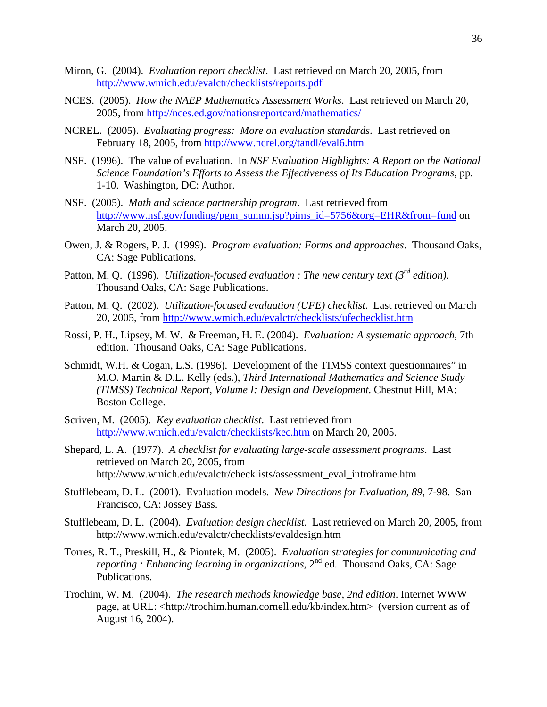- Miron, G. (2004). *Evaluation report checklist*. Last retrieved on March 20, 2005, from <http://www.wmich.edu/evalctr/checklists/reports.pdf>
- NCES. (2005). *How the NAEP Mathematics Assessment Works*. Last retrieved on March 20, 2005, from<http://nces.ed.gov/nationsreportcard/mathematics/>
- NCREL. (2005). *Evaluating progress: More on evaluation standards*. Last retrieved on February 18, 2005, from <http://www.ncrel.org/tandl/eval6.htm>
- NSF. (1996). The value of evaluation. In *NSF Evaluation Highlights: A Report on the National Science Foundation's Efforts to Assess the Effectiveness of Its Education Programs*, pp. 1-10. Washington, DC: Author.
- NSF. (2005). *Math and science partnership program*. Last retrieved from [http://www.nsf.gov/funding/pgm\\_summ.jsp?pims\\_id=5756&org=EHR&from=fund](http://www.nsf.gov/funding/pgm_summ.jsp?pims_id=5756&org=EHR&from=fund) on March 20, 2005.
- Owen, J. & Rogers, P. J. (1999). *Program evaluation: Forms and approaches*. Thousand Oaks, CA: Sage Publications.
- Patton, M. Q. (1996). *Utilization-focused evaluation : The new century text (3<sup>rd</sup> edition).* Thousand Oaks, CA: Sage Publications.
- Patton, M. Q. (2002). *Utilization-focused evaluation (UFE) checklist*. Last retrieved on March 20, 2005, from<http://www.wmich.edu/evalctr/checklists/ufechecklist.htm>
- Rossi, P. H., Lipsey, M. W. & Freeman, H. E. (2004). *Evaluation: A systematic approach,* 7th edition. Thousand Oaks, CA: Sage Publications.
- Schmidt, W.H. & Cogan, L.S. (1996). Development of the TIMSS context questionnaires" in M.O. Martin & D.L. Kelly (eds.), *Third International Mathematics and Science Study (TIMSS) Technical Report, Volume I: Design and Development*. Chestnut Hill, MA: Boston College.
- Scriven, M. (2005). *Key evaluation checklist*. Last retrieved from <http://www.wmich.edu/evalctr/checklists/kec.htm>on March 20, 2005.
- Shepard, L. A. (1977). *A checklist for evaluating large-scale assessment programs*. Last retrieved on March 20, 2005, from [http://www.wmich.edu/evalctr/checklists/assessment\\_eval\\_introframe.htm](http://www.wmich.edu/evalctr/checklists/assessment_eval_introframe.htm)
- Stufflebeam, D. L. (2001). Evaluation models. *New Directions for Evaluation, 89*, 7-98. San Francisco, CA: Jossey Bass.
- Stufflebeam, D. L. (2004). *Evaluation design checklist.* Last retrieved on March 20, 2005, from <http://www.wmich.edu/evalctr/checklists/evaldesign.htm>
- Torres, R. T., Preskill, H., & Piontek, M. (2005). *Evaluation strategies for communicating and reporting : Enhancing learning in organizations*, 2<sup>nd</sup> ed. Thousand Oaks, CA: Sage Publications.
- Trochim, W. M. (2004). *The research methods knowledge base, 2nd edition*. Internet WWW page, at URL: [<http://trochim.human.cornell.edu/kb/index.htm>](http://trochim.human.cornell.edu/kb/index.htm) (version current as of August 16, 2004).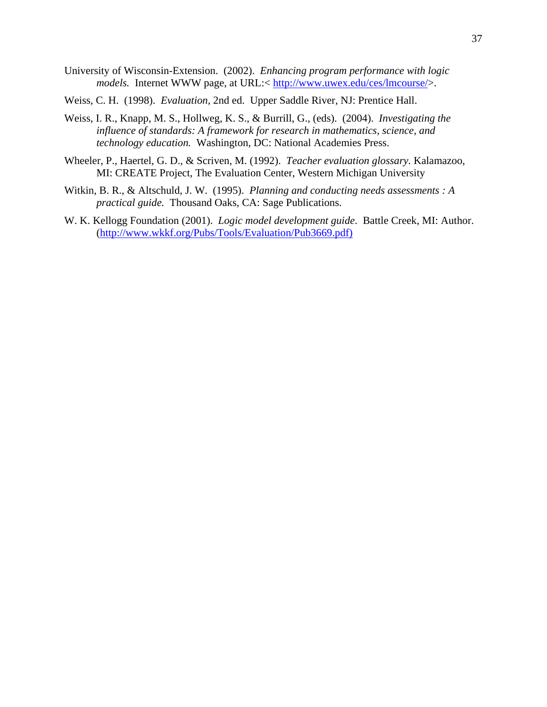- University of Wisconsin-Extension. (2002). *Enhancing program performance with logic models.* Internet WWW page, at URL:< <http://www.uwex.edu/ces/lmcourse/>>.
- Weiss, C. H. (1998). *Evaluation,* 2nd ed. Upper Saddle River, NJ: Prentice Hall.
- Weiss, I. R., Knapp, M. S., Hollweg, K. S., & Burrill, G., (eds). (2004). *Investigating the influence of standards: A framework for research in mathematics, science, and technology education.* Washington, DC: National Academies Press.
- Wheeler, P., Haertel, G. D., & Scriven, M. (1992). *Teacher evaluation glossary.* Kalamazoo, MI: CREATE Project, The Evaluation Center, Western Michigan University
- Witkin, B. R., & Altschuld, J. W. (1995). *Planning and conducting needs assessments : A practical guide.* Thousand Oaks, CA: Sage Publications.
- W. K. Kellogg Foundation (2001). *Logic model development guide*. Battle Creek, MI: Author. ([http://www.wkkf.org/Pubs/Tools/Evaluation/Pub3669.pdf\)](http://www.wkkf.org/Pubs/Tools/Evaluation/Pub3669.pdf)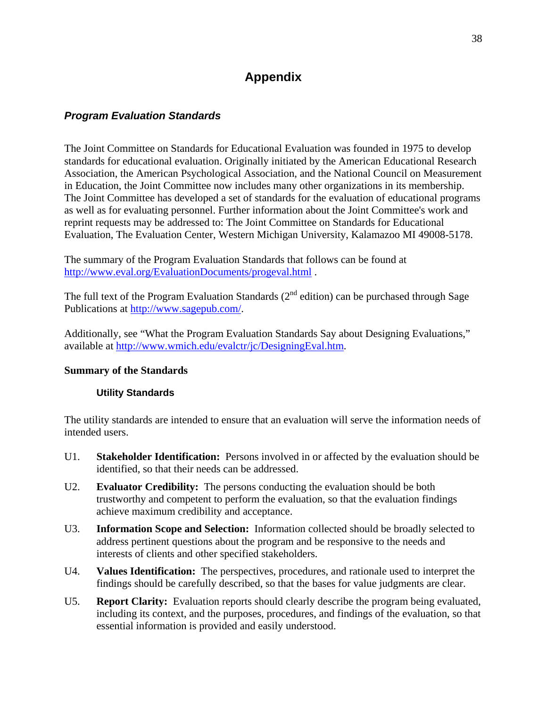# **Appendix**

# *Program Evaluation Standards*

The Joint Committee on Standards for Educational Evaluation was founded in 1975 to develop standards for educational evaluation. Originally initiated by the American Educational Research Association, the American Psychological Association, and the National Council on Measurement in Education, the Joint Committee now includes many other organizations in its membership. The Joint Committee has developed a set of standards for the evaluation of educational programs as well as for evaluating personnel. Further information about the Joint Committee's work and reprint requests may be addressed to: The Joint Committee on Standards for Educational Evaluation, The Evaluation Center, Western Michigan University, Kalamazoo MI 49008-5178.

The summary of the Program Evaluation Standards that follows can be found at <http://www.eval.org/EvaluationDocuments/progeval.html>.

The full text of the Program Evaluation Standards  $(2^{nd}$  edition) can be purchased through Sage Publications at [http://www.sagepub.com/.](http://www.sagepub.com/)

Additionally, see "What the Program Evaluation Standards Say about Designing Evaluations," available at [http://www.wmich.edu/evalctr/jc/DesigningEval.htm.](http://www.wmich.edu/evalctr/jc/DesigningEval.htm) 

### **Summary of the Standards**

### **Utility Standards**

The utility standards are intended to ensure that an evaluation will serve the information needs of intended users.

- U1. **Stakeholder Identification:** Persons involved in or affected by the evaluation should be identified, so that their needs can be addressed.
- U2. **Evaluator Credibility:** The persons conducting the evaluation should be both trustworthy and competent to perform the evaluation, so that the evaluation findings achieve maximum credibility and acceptance.
- U3. **Information Scope and Selection:** Information collected should be broadly selected to address pertinent questions about the program and be responsive to the needs and interests of clients and other specified stakeholders.
- U4. **Values Identification:** The perspectives, procedures, and rationale used to interpret the findings should be carefully described, so that the bases for value judgments are clear.
- U5. **Report Clarity:** Evaluation reports should clearly describe the program being evaluated, including its context, and the purposes, procedures, and findings of the evaluation, so that essential information is provided and easily understood.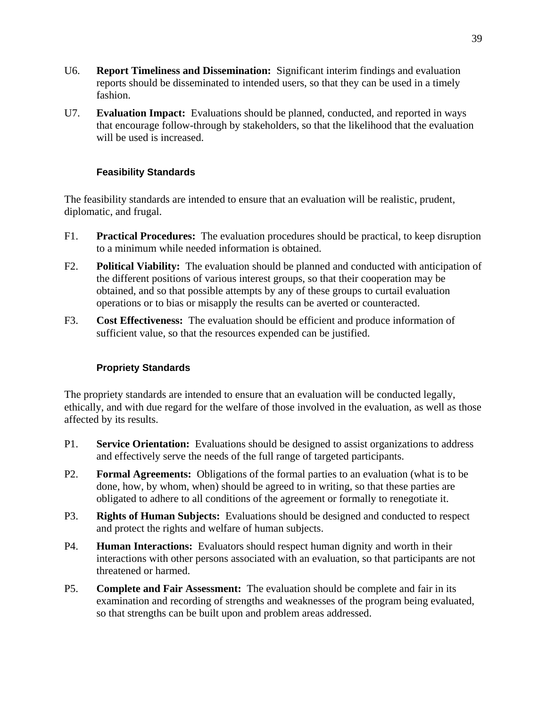- U6. **Report Timeliness and Dissemination:** Significant interim findings and evaluation reports should be disseminated to intended users, so that they can be used in a timely fashion.
- U7. **Evaluation Impact:** Evaluations should be planned, conducted, and reported in ways that encourage follow-through by stakeholders, so that the likelihood that the evaluation will be used is increased.

### **Feasibility Standards**

The feasibility standards are intended to ensure that an evaluation will be realistic, prudent, diplomatic, and frugal.

- F1. **Practical Procedures:** The evaluation procedures should be practical, to keep disruption to a minimum while needed information is obtained.
- F2. **Political Viability:** The evaluation should be planned and conducted with anticipation of the different positions of various interest groups, so that their cooperation may be obtained, and so that possible attempts by any of these groups to curtail evaluation operations or to bias or misapply the results can be averted or counteracted.
- F3. **Cost Effectiveness:** The evaluation should be efficient and produce information of sufficient value, so that the resources expended can be justified.

### **Propriety Standards**

The propriety standards are intended to ensure that an evaluation will be conducted legally, ethically, and with due regard for the welfare of those involved in the evaluation, as well as those affected by its results.

- P1. **Service Orientation:** Evaluations should be designed to assist organizations to address and effectively serve the needs of the full range of targeted participants.
- P2. **Formal Agreements:** Obligations of the formal parties to an evaluation (what is to be done, how, by whom, when) should be agreed to in writing, so that these parties are obligated to adhere to all conditions of the agreement or formally to renegotiate it.
- P3. **Rights of Human Subjects:** Evaluations should be designed and conducted to respect and protect the rights and welfare of human subjects.
- P4. **Human Interactions:** Evaluators should respect human dignity and worth in their interactions with other persons associated with an evaluation, so that participants are not threatened or harmed.
- P5. **Complete and Fair Assessment:** The evaluation should be complete and fair in its examination and recording of strengths and weaknesses of the program being evaluated, so that strengths can be built upon and problem areas addressed.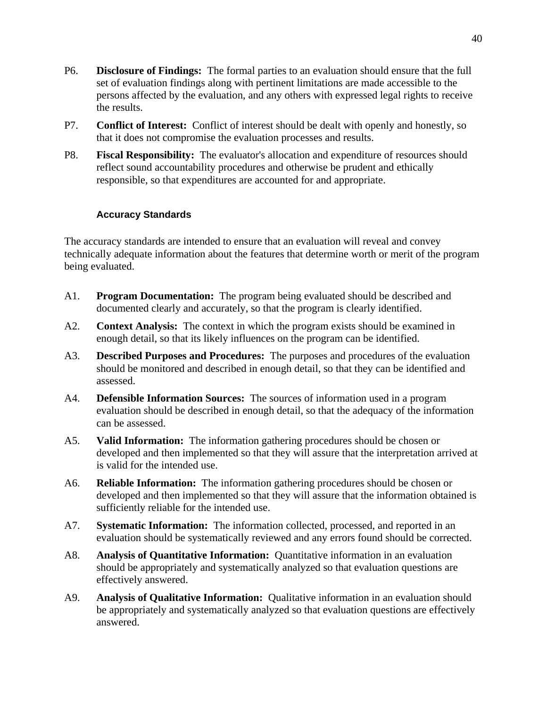- P6. **Disclosure of Findings:** The formal parties to an evaluation should ensure that the full set of evaluation findings along with pertinent limitations are made accessible to the persons affected by the evaluation, and any others with expressed legal rights to receive the results.
- P7. **Conflict of Interest:** Conflict of interest should be dealt with openly and honestly, so that it does not compromise the evaluation processes and results.
- P8. **Fiscal Responsibility:** The evaluator's allocation and expenditure of resources should reflect sound accountability procedures and otherwise be prudent and ethically responsible, so that expenditures are accounted for and appropriate.

### **Accuracy Standards**

The accuracy standards are intended to ensure that an evaluation will reveal and convey technically adequate information about the features that determine worth or merit of the program being evaluated.

- A1. **Program Documentation:** The program being evaluated should be described and documented clearly and accurately, so that the program is clearly identified.
- A2. **Context Analysis:** The context in which the program exists should be examined in enough detail, so that its likely influences on the program can be identified.
- A3. **Described Purposes and Procedures:** The purposes and procedures of the evaluation should be monitored and described in enough detail, so that they can be identified and assessed.
- A4. **Defensible Information Sources:** The sources of information used in a program evaluation should be described in enough detail, so that the adequacy of the information can be assessed.
- A5. **Valid Information:** The information gathering procedures should be chosen or developed and then implemented so that they will assure that the interpretation arrived at is valid for the intended use.
- A6. **Reliable Information:** The information gathering procedures should be chosen or developed and then implemented so that they will assure that the information obtained is sufficiently reliable for the intended use.
- A7. **Systematic Information:** The information collected, processed, and reported in an evaluation should be systematically reviewed and any errors found should be corrected.
- A8. **Analysis of Quantitative Information:** Quantitative information in an evaluation should be appropriately and systematically analyzed so that evaluation questions are effectively answered.
- A9. **Analysis of Qualitative Information:** Qualitative information in an evaluation should be appropriately and systematically analyzed so that evaluation questions are effectively answered.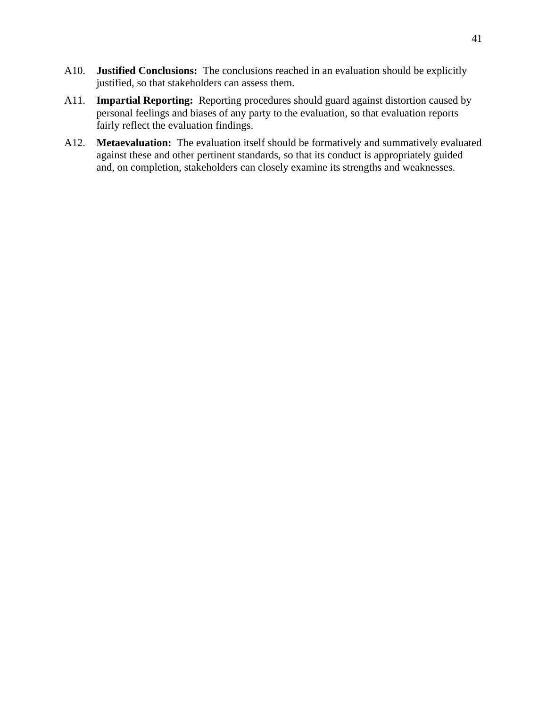- A10. **Justified Conclusions:** The conclusions reached in an evaluation should be explicitly justified, so that stakeholders can assess them.
- A11. **Impartial Reporting:** Reporting procedures should guard against distortion caused by personal feelings and biases of any party to the evaluation, so that evaluation reports fairly reflect the evaluation findings.
- A12. **Metaevaluation:** The evaluation itself should be formatively and summatively evaluated against these and other pertinent standards, so that its conduct is appropriately guided and, on completion, stakeholders can closely examine its strengths and weaknesses.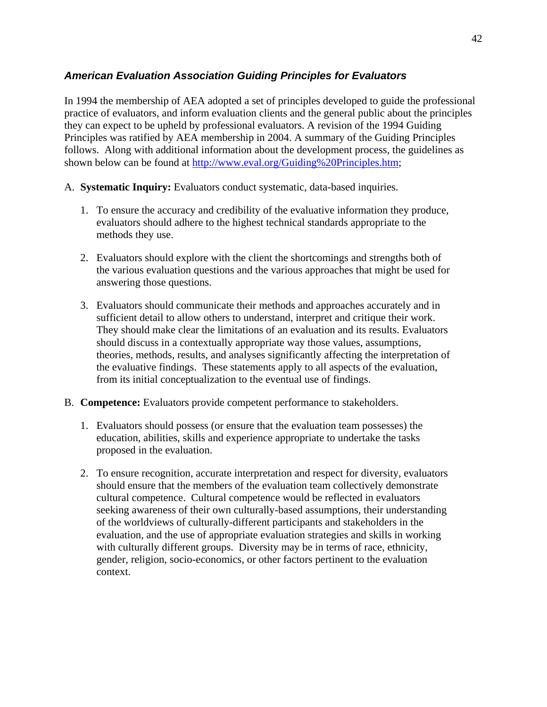# *American Evaluation Association Guiding Principles for Evaluators*

In 1994 the membership of AEA adopted a set of principles developed to guide the professional practice of evaluators, and inform evaluation clients and the general public about the principles they can expect to be upheld by professional evaluators. A revision of the 1994 Guiding Principles was ratified by AEA membership in 2004. A summary of the Guiding Principles follows. Along with additional information about the development process, the guidelines as shown below can be found at [http://www.eval.org/Guiding%20Principles.htm;](http://www.eval.org/Guiding%20Principles.htm) 

- A. **Systematic Inquiry:** Evaluators conduct systematic, data-based inquiries.
	- 1. To ensure the accuracy and credibility of the evaluative information they produce, evaluators should adhere to the highest technical standards appropriate to the methods they use.
	- 2. Evaluators should explore with the client the shortcomings and strengths both of the various evaluation questions and the various approaches that might be used for answering those questions.
	- 3. Evaluators should communicate their methods and approaches accurately and in sufficient detail to allow others to understand, interpret and critique their work. They should make clear the limitations of an evaluation and its results. Evaluators should discuss in a contextually appropriate way those values, assumptions, theories, methods, results, and analyses significantly affecting the interpretation of the evaluative findings. These statements apply to all aspects of the evaluation, from its initial conceptualization to the eventual use of findings.
- B. **Competence:** Evaluators provide competent performance to stakeholders.
	- 1. Evaluators should possess (or ensure that the evaluation team possesses) the education, abilities, skills and experience appropriate to undertake the tasks proposed in the evaluation.
	- 2. To ensure recognition, accurate interpretation and respect for diversity, evaluators should ensure that the members of the evaluation team collectively demonstrate cultural competence. Cultural competence would be reflected in evaluators seeking awareness of their own culturally-based assumptions, their understanding of the worldviews of culturally-different participants and stakeholders in the evaluation, and the use of appropriate evaluation strategies and skills in working with culturally different groups. Diversity may be in terms of race, ethnicity, gender, religion, socio-economics, or other factors pertinent to the evaluation context.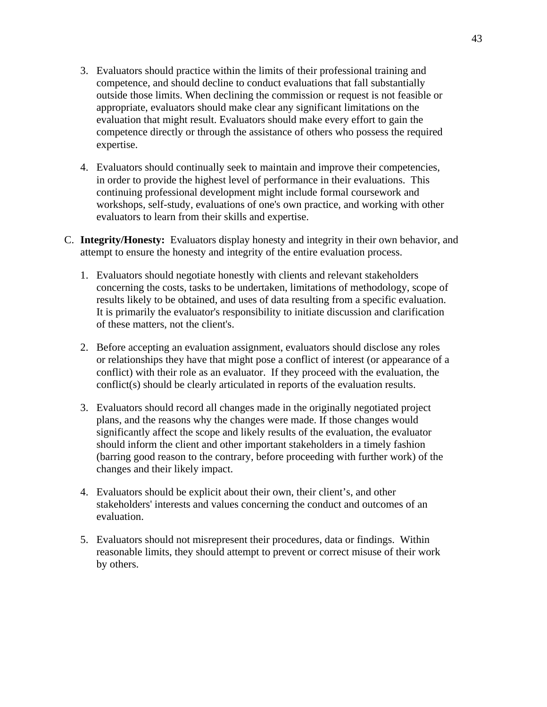- 3. Evaluators should practice within the limits of their professional training and competence, and should decline to conduct evaluations that fall substantially outside those limits. When declining the commission or request is not feasible or appropriate, evaluators should make clear any significant limitations on the evaluation that might result. Evaluators should make every effort to gain the competence directly or through the assistance of others who possess the required expertise.
- 4. Evaluators should continually seek to maintain and improve their competencies, in order to provide the highest level of performance in their evaluations. This continuing professional development might include formal coursework and workshops, self-study, evaluations of one's own practice, and working with other evaluators to learn from their skills and expertise.
- C. **Integrity/Honesty:** Evaluators display honesty and integrity in their own behavior, and attempt to ensure the honesty and integrity of the entire evaluation process.
	- 1. Evaluators should negotiate honestly with clients and relevant stakeholders concerning the costs, tasks to be undertaken, limitations of methodology, scope of results likely to be obtained, and uses of data resulting from a specific evaluation. It is primarily the evaluator's responsibility to initiate discussion and clarification of these matters, not the client's.
	- 2. Before accepting an evaluation assignment, evaluators should disclose any roles or relationships they have that might pose a conflict of interest (or appearance of a conflict) with their role as an evaluator. If they proceed with the evaluation, the conflict(s) should be clearly articulated in reports of the evaluation results.
	- 3. Evaluators should record all changes made in the originally negotiated project plans, and the reasons why the changes were made. If those changes would significantly affect the scope and likely results of the evaluation, the evaluator should inform the client and other important stakeholders in a timely fashion (barring good reason to the contrary, before proceeding with further work) of the changes and their likely impact.
	- 4. Evaluators should be explicit about their own, their client's, and other stakeholders' interests and values concerning the conduct and outcomes of an evaluation.
	- 5. Evaluators should not misrepresent their procedures, data or findings. Within reasonable limits, they should attempt to prevent or correct misuse of their work by others.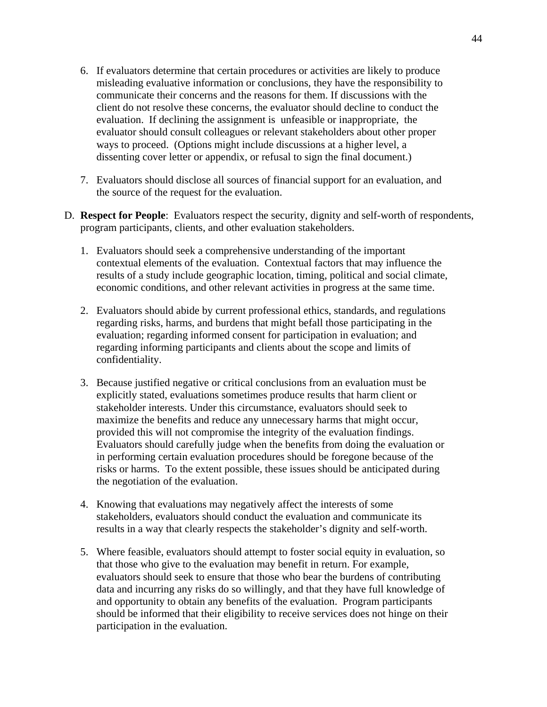- 6. If evaluators determine that certain procedures or activities are likely to produce misleading evaluative information or conclusions, they have the responsibility to communicate their concerns and the reasons for them. If discussions with the client do not resolve these concerns, the evaluator should decline to conduct the evaluation. If declining the assignment is unfeasible or inappropriate, the evaluator should consult colleagues or relevant stakeholders about other proper ways to proceed. (Options might include discussions at a higher level, a dissenting cover letter or appendix, or refusal to sign the final document.)
- 7. Evaluators should disclose all sources of financial support for an evaluation, and the source of the request for the evaluation.
- D. **Respect for People**: Evaluators respect the security, dignity and self-worth of respondents, program participants, clients, and other evaluation stakeholders.
	- 1. Evaluators should seek a comprehensive understanding of the important contextual elements of the evaluation. Contextual factors that may influence the results of a study include geographic location, timing, political and social climate, economic conditions, and other relevant activities in progress at the same time.
	- 2. Evaluators should abide by current professional ethics, standards, and regulations regarding risks, harms, and burdens that might befall those participating in the evaluation; regarding informed consent for participation in evaluation; and regarding informing participants and clients about the scope and limits of confidentiality.
	- 3. Because justified negative or critical conclusions from an evaluation must be explicitly stated, evaluations sometimes produce results that harm client or stakeholder interests. Under this circumstance, evaluators should seek to maximize the benefits and reduce any unnecessary harms that might occur, provided this will not compromise the integrity of the evaluation findings. Evaluators should carefully judge when the benefits from doing the evaluation or in performing certain evaluation procedures should be foregone because of the risks or harms. To the extent possible, these issues should be anticipated during the negotiation of the evaluation.
	- 4. Knowing that evaluations may negatively affect the interests of some stakeholders, evaluators should conduct the evaluation and communicate its results in a way that clearly respects the stakeholder's dignity and self-worth.
	- 5. Where feasible, evaluators should attempt to foster social equity in evaluation, so that those who give to the evaluation may benefit in return. For example, evaluators should seek to ensure that those who bear the burdens of contributing data and incurring any risks do so willingly, and that they have full knowledge of and opportunity to obtain any benefits of the evaluation. Program participants should be informed that their eligibility to receive services does not hinge on their participation in the evaluation.